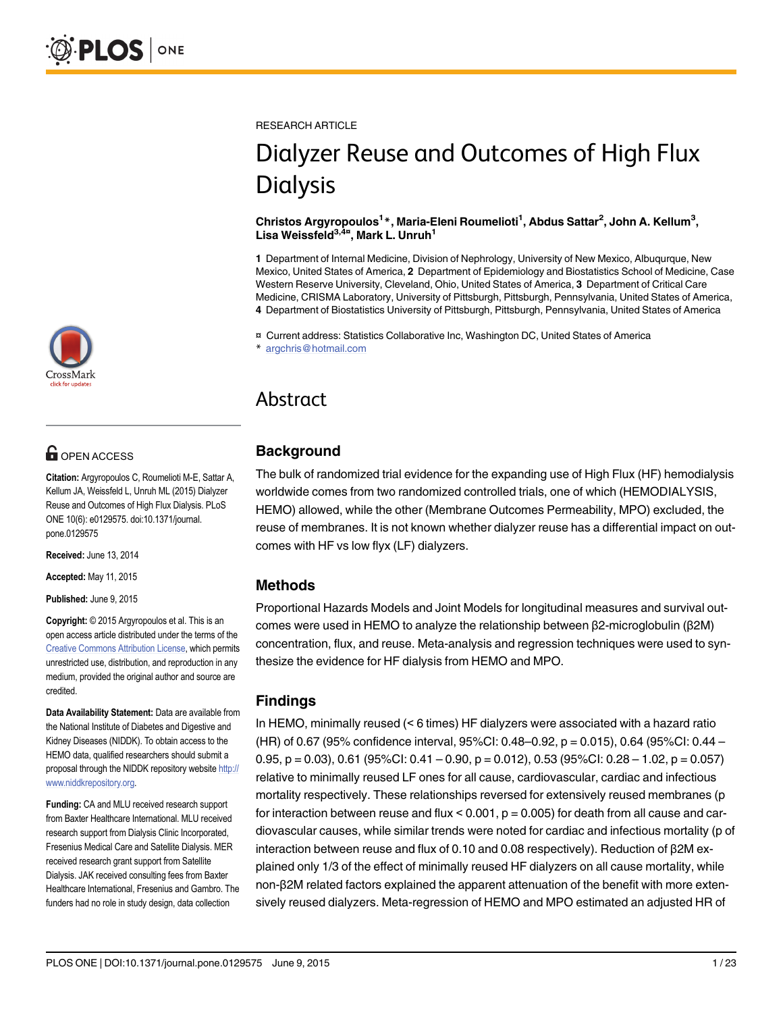# **OPEN ACCESS**

Citation: Argyropoulos C, Roumelioti M-E, Sattar A, Kellum JA, Weissfeld L, Unruh ML (2015) Dialyzer Reuse and Outcomes of High Flux Dialysis. PLoS ONE 10(6): e0129575. doi:10.1371/journal. pone.0129575

Received: June 13, 2014

Accepted: May 11, 2015

Published: June 9, 2015

Copyright: © 2015 Argyropoulos et al. This is an open access article distributed under the terms of the [Creative Commons Attribution License,](http://creativecommons.org/licenses/by/4.0/) which permits unrestricted use, distribution, and reproduction in any medium, provided the original author and source are credited.

Data Availability Statement: Data are available from the National Institute of Diabetes and Digestive and Kidney Diseases (NIDDK). To obtain access to the HEMO data, qualified researchers should submit a proposal through the NIDDK repository website [http://](http://www.niddkrepository.org) [www.niddkrepository.org](http://www.niddkrepository.org).

Funding: CA and MLU received research support from Baxter Healthcare International. MLU received research support from Dialysis Clinic Incorporated, Fresenius Medical Care and Satellite Dialysis. MER received research grant support from Satellite Dialysis. JAK received consulting fees from Baxter Healthcare International, Fresenius and Gambro. The funders had no role in study design, data collection

RESEARCH ARTICLE

# Dialyzer Reuse and Outcomes of High Flux **Dialysis**

Christos Argyropoulos<sup>1</sup>\*, Maria-Eleni Roumelioti<sup>1</sup>, Abdus Sattar<sup>2</sup>, John A. Kellum<sup>3</sup>, Lisa Weissfeld<sup>3,4¤</sup>, Mark L. Unruh<sup>1</sup>

1 Department of Internal Medicine, Division of Nephrology, University of New Mexico, Albuqurque, New Mexico, United States of America, 2 Department of Epidemiology and Biostatistics School of Medicine, Case Western Reserve University, Cleveland, Ohio, United States of America, 3 Department of Critical Care Medicine, CRISMA Laboratory, University of Pittsburgh, Pittsburgh, Pennsylvania, United States of America, 4 Department of Biostatistics University of Pittsburgh, Pittsburgh, Pennsylvania, United States of America

¤ Current address: Statistics Collaborative Inc, Washington DC, United States of America

argchris@hotmail.com

# Abstract

# **Background**

The bulk of randomized trial evidence for the expanding use of High Flux (HF) hemodialysis worldwide comes from two randomized controlled trials, one of which (HEMODIALYSIS, HEMO) allowed, while the other (Membrane Outcomes Permeability, MPO) excluded, the reuse of membranes. It is not known whether dialyzer reuse has a differential impact on outcomes with HF vs low flyx (LF) dialyzers.

# Methods

Proportional Hazards Models and Joint Models for longitudinal measures and survival outcomes were used in HEMO to analyze the relationship between β2-microglobulin (β2M) concentration, flux, and reuse. Meta-analysis and regression techniques were used to synthesize the evidence for HF dialysis from HEMO and MPO.

# Findings

In HEMO, minimally reused (< 6 times) HF dialyzers were associated with a hazard ratio (HR) of 0.67 (95% confidence interval, 95%CI: 0.48–0.92, p = 0.015), 0.64 (95%CI: 0.44 – 0.95, p = 0.03), 0.61 (95%CI: 0.41 – 0.90, p = 0.012), 0.53 (95%CI: 0.28 – 1.02, p = 0.057) relative to minimally reused LF ones for all cause, cardiovascular, cardiac and infectious mortality respectively. These relationships reversed for extensively reused membranes (p for interaction between reuse and flux  $< 0.001$ ,  $p = 0.005$ ) for death from all cause and cardiovascular causes, while similar trends were noted for cardiac and infectious mortality (p of interaction between reuse and flux of 0.10 and 0.08 respectively). Reduction of β2M explained only 1/3 of the effect of minimally reused HF dialyzers on all cause mortality, while non-β2M related factors explained the apparent attenuation of the benefit with more extensively reused dialyzers. Meta-regression of HEMO and MPO estimated an adjusted HR of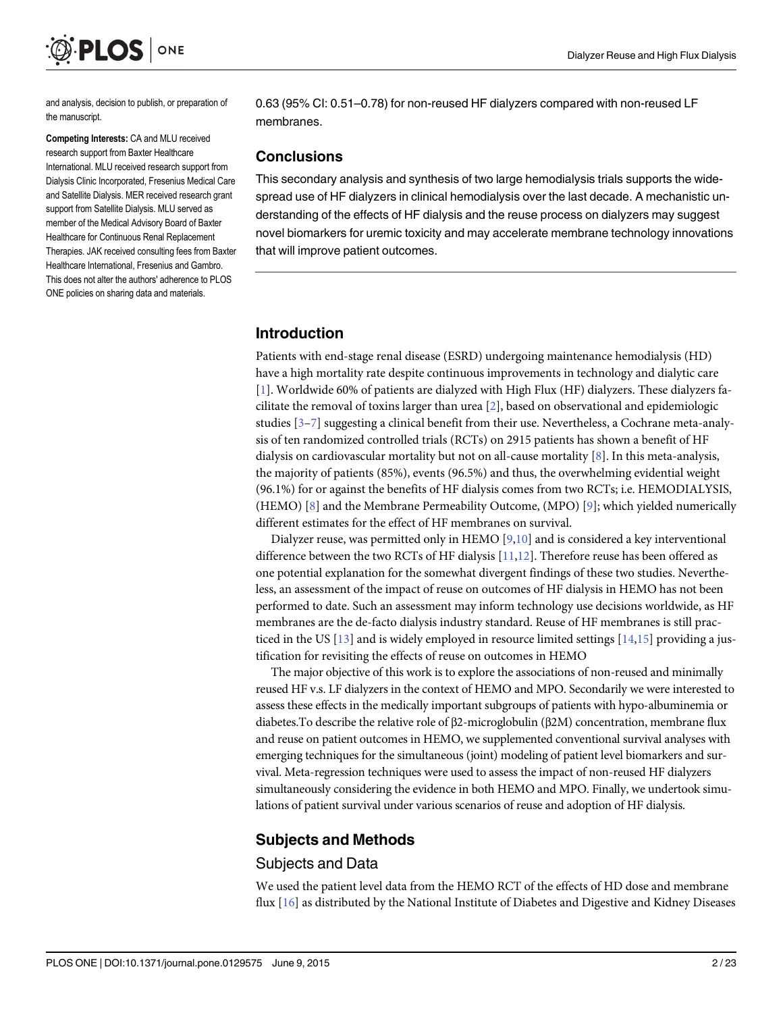<span id="page-1-0"></span>

and analysis, decision to publish, or preparation of the manuscript.

Competing Interests: CA and MLU received research support from Baxter Healthcare International. MLU received research support from Dialysis Clinic Incorporated, Fresenius Medical Care and Satellite Dialysis. MER received research grant support from Satellite Dialysis. MLU served as member of the Medical Advisory Board of Baxter Healthcare for Continuous Renal Replacement Therapies. JAK received consulting fees from Baxter Healthcare International, Fresenius and Gambro. This does not alter the authors' adherence to PLOS ONE policies on sharing data and materials.

0.63 (95% CI: 0.51–0.78) for non-reused HF dialyzers compared with non-reused LF membranes.

#### **Conclusions**

This secondary analysis and synthesis of two large hemodialysis trials supports the widespread use of HF dialyzers in clinical hemodialysis over the last decade. A mechanistic understanding of the effects of HF dialysis and the reuse process on dialyzers may suggest novel biomarkers for uremic toxicity and may accelerate membrane technology innovations that will improve patient outcomes.

# Introduction

Patients with end-stage renal disease (ESRD) undergoing maintenance hemodialysis (HD) have a high mortality rate despite continuous improvements in technology and dialytic care [\[1](#page-18-0)]. Worldwide 60% of patients are dialyzed with High Flux (HF) dialyzers. These dialyzers facilitate the removal of toxins larger than urea  $[2]$  $[2]$ , based on observational and epidemiologic studies  $[3-7]$  $[3-7]$  $[3-7]$  suggesting a clinical benefit from their use. Nevertheless, a Cochrane meta-analysis of ten randomized controlled trials (RCTs) on 2915 patients has shown a benefit of HF dialysis on cardiovascular mortality but not on all-cause mortality [[8\]](#page-18-0). In this meta-analysis, the majority of patients (85%), events (96.5%) and thus, the overwhelming evidential weight (96.1%) for or against the benefits of HF dialysis comes from two RCTs; i.e. HEMODIALYSIS, (HEMO) [[8\]](#page-18-0) and the Membrane Permeability Outcome, (MPO) [[9\]](#page-18-0); which yielded numerically different estimates for the effect of HF membranes on survival.

Dialyzer reuse, was permitted only in HEMO  $[9,10]$  and is considered a key interventional difference between the two RCTs of HF dialysis  $[11,12]$  $[11,12]$  $[11,12]$ . Therefore reuse has been offered as one potential explanation for the somewhat divergent findings of these two studies. Nevertheless, an assessment of the impact of reuse on outcomes of HF dialysis in HEMO has not been performed to date. Such an assessment may inform technology use decisions worldwide, as HF membranes are the de-facto dialysis industry standard. Reuse of HF membranes is still practiced in the US  $[13]$  $[13]$  and is widely employed in resource limited settings  $[14,15]$  providing a justification for revisiting the effects of reuse on outcomes in HEMO

The major objective of this work is to explore the associations of non-reused and minimally reused HF v.s. LF dialyzers in the context of HEMO and MPO. Secondarily we were interested to assess these effects in the medically important subgroups of patients with hypo-albuminemia or diabetes.To describe the relative role of β2-microglobulin (β2M) concentration, membrane flux and reuse on patient outcomes in HEMO, we supplemented conventional survival analyses with emerging techniques for the simultaneous (joint) modeling of patient level biomarkers and survival. Meta-regression techniques were used to assess the impact of non-reused HF dialyzers simultaneously considering the evidence in both HEMO and MPO. Finally, we undertook simulations of patient survival under various scenarios of reuse and adoption of HF dialysis.

# Subjects and Methods

# Subjects and Data

We used the patient level data from the HEMO RCT of the effects of HD dose and membrane flux [[16\]](#page-18-0) as distributed by the National Institute of Diabetes and Digestive and Kidney Diseases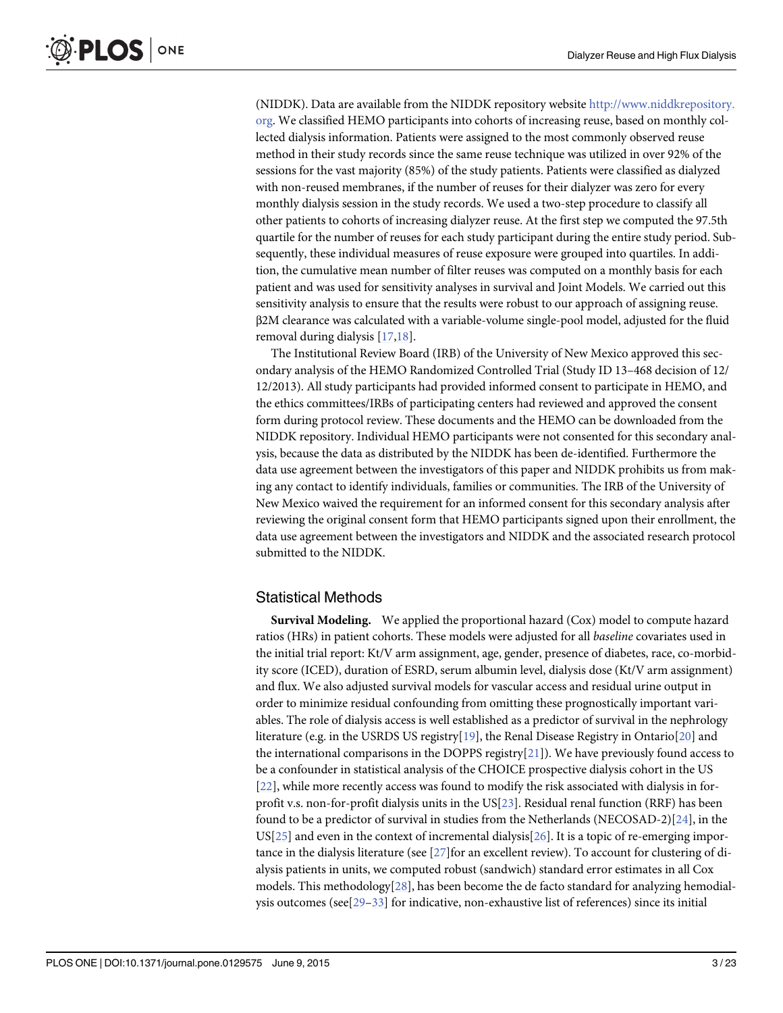<span id="page-2-0"></span>(NIDDK). Data are available from the NIDDK repository website [http://www.niddkrepository.](http://www.niddkrepository.org) [org](http://www.niddkrepository.org). We classified HEMO participants into cohorts of increasing reuse, based on monthly collected dialysis information. Patients were assigned to the most commonly observed reuse method in their study records since the same reuse technique was utilized in over 92% of the sessions for the vast majority (85%) of the study patients. Patients were classified as dialyzed with non-reused membranes, if the number of reuses for their dialyzer was zero for every monthly dialysis session in the study records. We used a two-step procedure to classify all other patients to cohorts of increasing dialyzer reuse. At the first step we computed the 97.5th quartile for the number of reuses for each study participant during the entire study period. Subsequently, these individual measures of reuse exposure were grouped into quartiles. In addition, the cumulative mean number of filter reuses was computed on a monthly basis for each patient and was used for sensitivity analyses in survival and Joint Models. We carried out this sensitivity analysis to ensure that the results were robust to our approach of assigning reuse. β2M clearance was calculated with a variable-volume single-pool model, adjusted for the fluid removal during dialysis [\[17,18\]](#page-18-0).

The Institutional Review Board (IRB) of the University of New Mexico approved this secondary analysis of the HEMO Randomized Controlled Trial (Study ID 13–468 decision of 12/ 12/2013). All study participants had provided informed consent to participate in HEMO, and the ethics committees/IRBs of participating centers had reviewed and approved the consent form during protocol review. These documents and the HEMO can be downloaded from the NIDDK repository. Individual HEMO participants were not consented for this secondary analysis, because the data as distributed by the NIDDK has been de-identified. Furthermore the data use agreement between the investigators of this paper and NIDDK prohibits us from making any contact to identify individuals, families or communities. The IRB of the University of New Mexico waived the requirement for an informed consent for this secondary analysis after reviewing the original consent form that HEMO participants signed upon their enrollment, the data use agreement between the investigators and NIDDK and the associated research protocol submitted to the NIDDK.

#### Statistical Methods

Survival Modeling. We applied the proportional hazard (Cox) model to compute hazard ratios (HRs) in patient cohorts. These models were adjusted for all baseline covariates used in the initial trial report: Kt/V arm assignment, age, gender, presence of diabetes, race, co-morbidity score (ICED), duration of ESRD, serum albumin level, dialysis dose (Kt/V arm assignment) and flux. We also adjusted survival models for vascular access and residual urine output in order to minimize residual confounding from omitting these prognostically important variables. The role of dialysis access is well established as a predictor of survival in the nephrology literature (e.g. in the USRDS US registry[\[19\]](#page-18-0), the Renal Disease Registry in Ontario[\[20\]](#page-18-0) and the international comparisons in the DOPPS registry $[21]$  $[21]$  $[21]$ ). We have previously found access to be a confounder in statistical analysis of the CHOICE prospective dialysis cohort in the US [\[22](#page-19-0)], while more recently access was found to modify the risk associated with dialysis in forprofit v.s. non-for-profit dialysis units in the US $[23]$  $[23]$ . Residual renal function (RRF) has been found to be a predictor of survival in studies from the Netherlands (NECOSAD-2)[[24](#page-19-0)], in the  $US[25]$  $US[25]$  $US[25]$  and even in the context of incremental dialysis[ $26$ ]. It is a topic of re-emerging importance in the dialysis literature (see [\[27\]](#page-19-0)for an excellent review). To account for clustering of dialysis patients in units, we computed robust (sandwich) standard error estimates in all Cox models. This methodology $[28]$  $[28]$ , has been become the de facto standard for analyzing hemodialysis outcomes (see  $[29-33]$  $[29-33]$  $[29-33]$  $[29-33]$  for indicative, non-exhaustive list of references) since its initial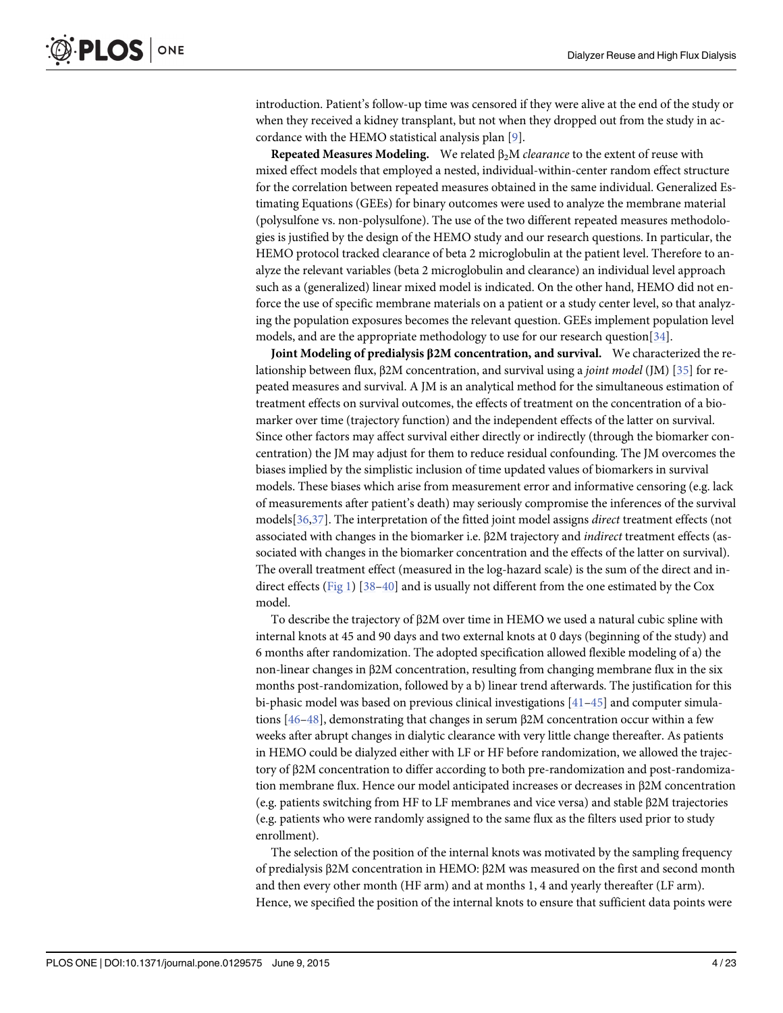<span id="page-3-0"></span>introduction. Patient's follow-up time was censored if they were alive at the end of the study or when they received a kidney transplant, but not when they dropped out from the study in accordance with the HEMO statistical analysis plan [\[9](#page-18-0)].

Repeated Measures Modeling. We related  $\beta_2M$  *clearance* to the extent of reuse with mixed effect models that employed a nested, individual-within-center random effect structure for the correlation between repeated measures obtained in the same individual. Generalized Estimating Equations (GEEs) for binary outcomes were used to analyze the membrane material (polysulfone vs. non-polysulfone). The use of the two different repeated measures methodologies is justified by the design of the HEMO study and our research questions. In particular, the HEMO protocol tracked clearance of beta 2 microglobulin at the patient level. Therefore to analyze the relevant variables (beta 2 microglobulin and clearance) an individual level approach such as a (generalized) linear mixed model is indicated. On the other hand, HEMO did not enforce the use of specific membrane materials on a patient or a study center level, so that analyzing the population exposures becomes the relevant question. GEEs implement population level models, and are the appropriate methodology to use for our research question[\[34\]](#page-19-0).

Joint Modeling of predialysis β2M concentration, and survival. We characterized the relationship between flux, β2M concentration, and survival using a joint model (JM) [\[35\]](#page-19-0) for repeated measures and survival. A JM is an analytical method for the simultaneous estimation of treatment effects on survival outcomes, the effects of treatment on the concentration of a biomarker over time (trajectory function) and the independent effects of the latter on survival. Since other factors may affect survival either directly or indirectly (through the biomarker concentration) the JM may adjust for them to reduce residual confounding. The JM overcomes the biases implied by the simplistic inclusion of time updated values of biomarkers in survival models. These biases which arise from measurement error and informative censoring (e.g. lack of measurements after patient's death) may seriously compromise the inferences of the survival models[\[36,37](#page-19-0)]. The interpretation of the fitted joint model assigns direct treatment effects (not associated with changes in the biomarker i.e. β2M trajectory and indirect treatment effects (associated with changes in the biomarker concentration and the effects of the latter on survival). The overall treatment effect (measured in the log-hazard scale) is the sum of the direct and in-direct effects ([Fig 1](#page-4-0)) [\[38](#page-19-0)–[40](#page-19-0)] and is usually not different from the one estimated by the Cox model.

To describe the trajectory of β2M over time in HEMO we used a natural cubic spline with internal knots at 45 and 90 days and two external knots at 0 days (beginning of the study) and 6 months after randomization. The adopted specification allowed flexible modeling of a) the non-linear changes in β2M concentration, resulting from changing membrane flux in the six months post-randomization, followed by a b) linear trend afterwards. The justification for this bi-phasic model was based on previous clinical investigations [\[41](#page-19-0)–[45\]](#page-20-0) and computer simulations [\[46](#page-20-0)–[48\]](#page-20-0), demonstrating that changes in serum β2M concentration occur within a few weeks after abrupt changes in dialytic clearance with very little change thereafter. As patients in HEMO could be dialyzed either with LF or HF before randomization, we allowed the trajectory of β2M concentration to differ according to both pre-randomization and post-randomization membrane flux. Hence our model anticipated increases or decreases in β2M concentration (e.g. patients switching from HF to LF membranes and vice versa) and stable β2M trajectories (e.g. patients who were randomly assigned to the same flux as the filters used prior to study enrollment).

The selection of the position of the internal knots was motivated by the sampling frequency of predialysis β2M concentration in HEMO: β2M was measured on the first and second month and then every other month (HF arm) and at months 1, 4 and yearly thereafter (LF arm). Hence, we specified the position of the internal knots to ensure that sufficient data points were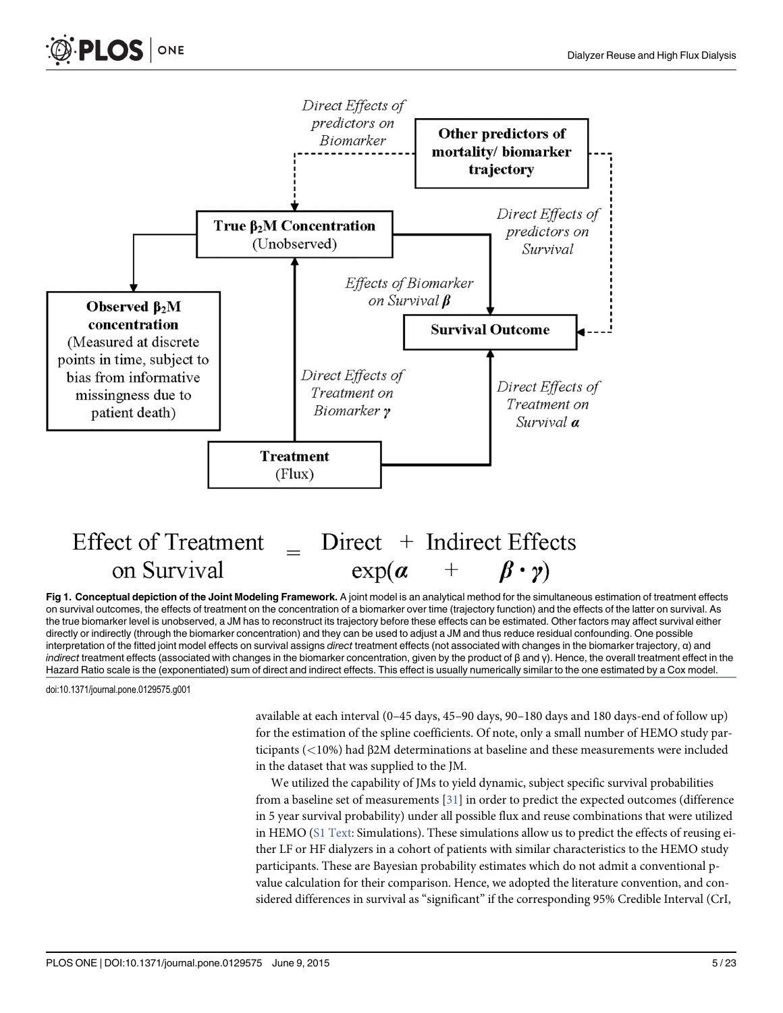<span id="page-4-0"></span>

[Fig 1. C](#page-3-0)onceptual depiction of the Joint Modeling Framework. A joint model is an analytical method for the simultaneous estimation of treatment effects on survival outcomes, the effects of treatment on the concentration of a biomarker over time (trajectory function) and the effects of the latter on survival. As the true biomarker level is unobserved, a JM has to reconstruct its trajectory before these effects can be estimated. Other factors may affect survival either directly or indirectly (through the biomarker concentration) and they can be used to adjust a JM and thus reduce residual confounding. One possible interpretation of the fitted joint model effects on survival assigns direct treatment effects (not associated with changes in the biomarker trajectory, α) and indirect treatment effects (associated with changes in the biomarker concentration, given by the product of  $\beta$  and  $\gamma$ ). Hence, the overall treatment effect in the Hazard Ratio scale is the (exponentiated) sum of direct and indirect effects. This effect is usually numerically similar to the one estimated by a Cox model.

doi:10.1371/journal.pone.0129575.g001

available at each interval (0–45 days, 45–90 days, 90–180 days and 180 days-end of follow up) for the estimation of the spline coefficients. Of note, only a small number of HEMO study participants (<10%) had β2M determinations at baseline and these measurements were included in the dataset that was supplied to the JM.

We utilized the capability of JMs to yield dynamic, subject specific survival probabilities from a baseline set of measurements [\[31\]](#page-19-0) in order to predict the expected outcomes (difference in 5 year survival probability) under all possible flux and reuse combinations that were utilized in HEMO [\(S1 Text:](#page-17-0) Simulations). These simulations allow us to predict the effects of reusing either LF or HF dialyzers in a cohort of patients with similar characteristics to the HEMO study participants. These are Bayesian probability estimates which do not admit a conventional pvalue calculation for their comparison. Hence, we adopted the literature convention, and considered differences in survival as "significant" if the corresponding 95% Credible Interval (CrI,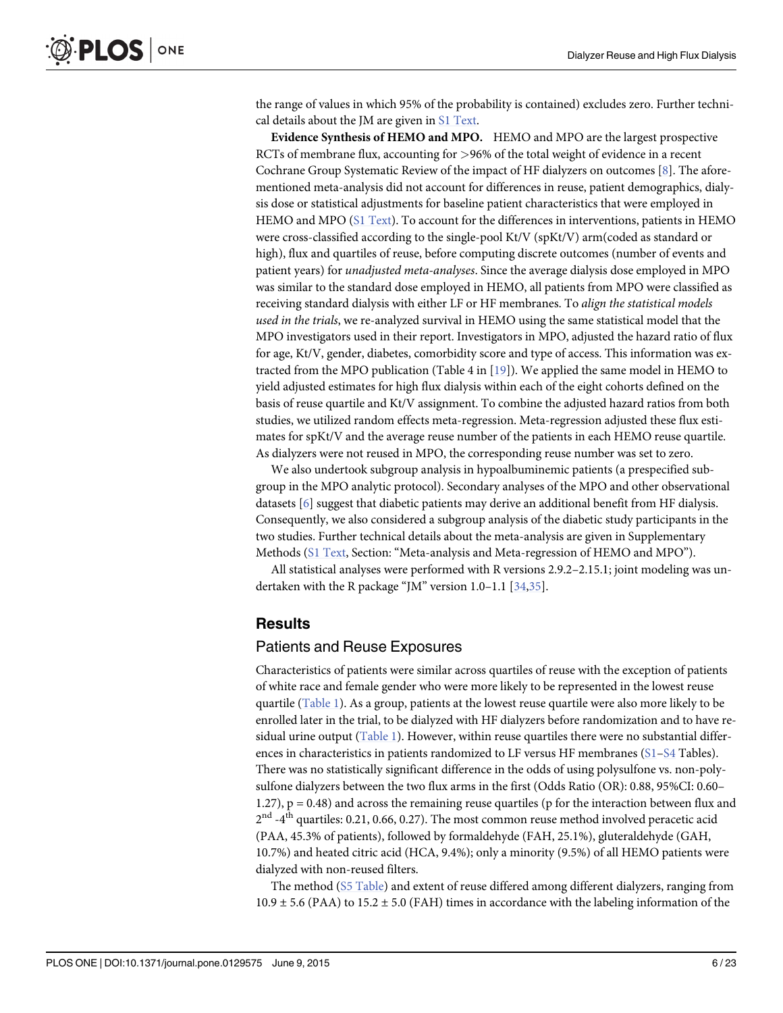<span id="page-5-0"></span>the range of values in which 95% of the probability is contained) excludes zero. Further techni-cal details about the JM are given in [S1 Text.](#page-17-0)

Evidence Synthesis of HEMO and MPO. HEMO and MPO are the largest prospective RCTs of membrane flux, accounting for >96% of the total weight of evidence in a recent Cochrane Group Systematic Review of the impact of HF dialyzers on outcomes [\[8\]](#page-18-0). The aforementioned meta-analysis did not account for differences in reuse, patient demographics, dialysis dose or statistical adjustments for baseline patient characteristics that were employed in HEMO and MPO [\(S1 Text](#page-17-0)). To account for the differences in interventions, patients in HEMO were cross-classified according to the single-pool Kt/V (spKt/V) arm(coded as standard or high), flux and quartiles of reuse, before computing discrete outcomes (number of events and patient years) for unadjusted meta-analyses. Since the average dialysis dose employed in MPO was similar to the standard dose employed in HEMO, all patients from MPO were classified as receiving standard dialysis with either LF or HF membranes. To align the statistical models used in the trials, we re-analyzed survival in HEMO using the same statistical model that the MPO investigators used in their report. Investigators in MPO, adjusted the hazard ratio of flux for age, Kt/V, gender, diabetes, comorbidity score and type of access. This information was extracted from the MPO publication (Table 4 in [\[19](#page-18-0)]). We applied the same model in HEMO to yield adjusted estimates for high flux dialysis within each of the eight cohorts defined on the basis of reuse quartile and Kt/V assignment. To combine the adjusted hazard ratios from both studies, we utilized random effects meta-regression. Meta-regression adjusted these flux estimates for spKt/V and the average reuse number of the patients in each HEMO reuse quartile. As dialyzers were not reused in MPO, the corresponding reuse number was set to zero.

We also undertook subgroup analysis in hypoalbuminemic patients (a prespecified subgroup in the MPO analytic protocol). Secondary analyses of the MPO and other observational datasets [\[6\]](#page-18-0) suggest that diabetic patients may derive an additional benefit from HF dialysis. Consequently, we also considered a subgroup analysis of the diabetic study participants in the two studies. Further technical details about the meta-analysis are given in Supplementary Methods ([S1 Text,](#page-17-0) Section: "Meta-analysis and Meta-regression of HEMO and MPO").

All statistical analyses were performed with R versions 2.9.2–2.15.1; joint modeling was undertaken with the R package "JM" version 1.0–1.1 [[34,35](#page-19-0)].

#### Results

#### Patients and Reuse Exposures

Characteristics of patients were similar across quartiles of reuse with the exception of patients of white race and female gender who were more likely to be represented in the lowest reuse quartile [\(Table 1](#page-6-0)). As a group, patients at the lowest reuse quartile were also more likely to be enrolled later in the trial, to be dialyzed with HF dialyzers before randomization and to have residual urine output  $(Table 1)$ . However, within reuse quartiles there were no substantial differences in characteristics in patients randomized to LF versus HF membranes  $(S1-S4$  $(S1-S4$  $(S1-S4$  Tables). There was no statistically significant difference in the odds of using polysulfone vs. non-polysulfone dialyzers between the two flux arms in the first (Odds Ratio (OR): 0.88, 95%CI: 0.60– 1.27), p = 0.48) and across the remaining reuse quartiles (p for the interaction between flux and  $2<sup>nd</sup> -4<sup>th</sup>$  quartiles: 0.21, 0.66, 0.27). The most common reuse method involved peracetic acid (PAA, 45.3% of patients), followed by formaldehyde (FAH, 25.1%), gluteraldehyde (GAH, 10.7%) and heated citric acid (HCA, 9.4%); only a minority (9.5%) of all HEMO patients were dialyzed with non-reused filters.

The method [\(S5 Table](#page-17-0)) and extent of reuse differed among different dialyzers, ranging from  $10.9 \pm 5.6$  (PAA) to  $15.2 \pm 5.0$  (FAH) times in accordance with the labeling information of the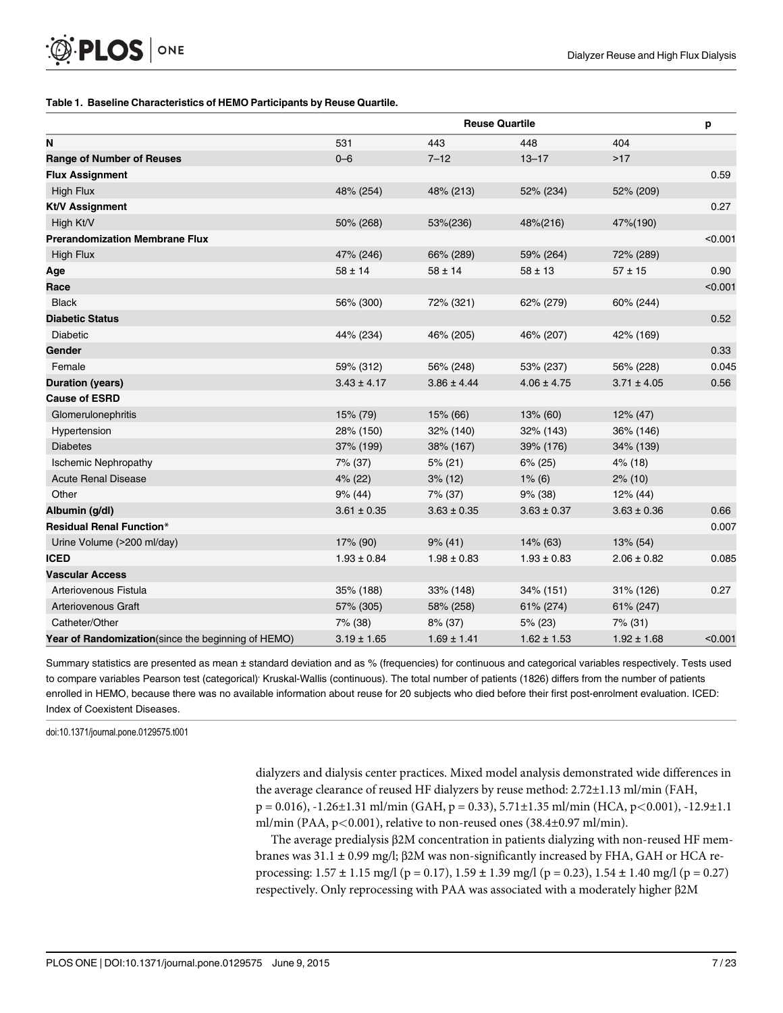#### <span id="page-6-0"></span>[Table 1.](#page-5-0) Baseline Characteristics of HEMO Participants by Reuse Quartile.

|                                                    | <b>Reuse Quartile</b> |                 |                 |                 |         |  |  |
|----------------------------------------------------|-----------------------|-----------------|-----------------|-----------------|---------|--|--|
| N                                                  | 531                   | 443             | 448             | 404             |         |  |  |
| <b>Range of Number of Reuses</b>                   | $0 - 6$               | $7 - 12$        | $13 - 17$       | $>17$           |         |  |  |
| <b>Flux Assignment</b>                             |                       |                 |                 |                 | 0.59    |  |  |
| <b>High Flux</b>                                   | 48% (254)             | 48% (213)       | 52% (234)       | 52% (209)       |         |  |  |
| <b>Kt/V Assignment</b>                             |                       |                 |                 |                 | 0.27    |  |  |
| High Kt/V                                          | 50% (268)             | 53%(236)        | 48%(216)        | 47%(190)        |         |  |  |
| <b>Prerandomization Membrane Flux</b>              |                       |                 |                 |                 | < 0.001 |  |  |
| <b>High Flux</b>                                   | 47% (246)             | 66% (289)       | 59% (264)       | 72% (289)       |         |  |  |
| Age                                                | $58 \pm 14$           | $58 \pm 14$     | $58 \pm 13$     | $57 \pm 15$     | 0.90    |  |  |
| Race                                               |                       |                 |                 |                 | < 0.001 |  |  |
| <b>Black</b>                                       | 56% (300)             | 72% (321)       | 62% (279)       | 60% (244)       |         |  |  |
| <b>Diabetic Status</b>                             |                       |                 |                 |                 | 0.52    |  |  |
| <b>Diabetic</b>                                    | 44% (234)             | 46% (205)       | 46% (207)       | 42% (169)       |         |  |  |
| Gender                                             |                       |                 |                 |                 | 0.33    |  |  |
| Female                                             | 59% (312)             | 56% (248)       | 53% (237)       | 56% (228)       | 0.045   |  |  |
| <b>Duration (years)</b>                            | $3.43 \pm 4.17$       | $3.86 \pm 4.44$ | $4.06 \pm 4.75$ | $3.71 \pm 4.05$ | 0.56    |  |  |
| <b>Cause of ESRD</b>                               |                       |                 |                 |                 |         |  |  |
| Glomerulonephritis                                 | 15% (79)              | 15% (66)        | 13% (60)        | 12% (47)        |         |  |  |
| Hypertension                                       | 28% (150)             | 32% (140)       | 32% (143)       | 36% (146)       |         |  |  |
| <b>Diabetes</b>                                    | 37% (199)             | 38% (167)       | 39% (176)       | 34% (139)       |         |  |  |
| <b>Ischemic Nephropathy</b>                        | 7% (37)               | $5\%$ (21)      | $6\%$ (25)      | $4\%$ (18)      |         |  |  |
| <b>Acute Renal Disease</b>                         | $4\%$ (22)            | $3\%$ (12)      | $1\%$ (6)       | $2\%$ (10)      |         |  |  |
| Other                                              | $9\%$ (44)            | 7% (37)         | 9% (38)         | 12% (44)        |         |  |  |
| Albumin (g/dl)                                     | $3.61 \pm 0.35$       | $3.63 \pm 0.35$ | $3.63 \pm 0.37$ | $3.63 \pm 0.36$ | 0.66    |  |  |
| <b>Residual Renal Function*</b>                    |                       |                 |                 |                 | 0.007   |  |  |
| Urine Volume (>200 ml/day)                         | 17% (90)              | $9\%$ (41)      | 14% (63)        | 13% (54)        |         |  |  |
| <b>ICED</b>                                        | $1.93 \pm 0.84$       | $1.98 \pm 0.83$ | $1.93 \pm 0.83$ | $2.06 \pm 0.82$ | 0.085   |  |  |
| <b>Vascular Access</b>                             |                       |                 |                 |                 |         |  |  |
| Arteriovenous Fistula                              | 35% (188)             | 33% (148)       | 34% (151)       | 31% (126)       | 0.27    |  |  |
| Arteriovenous Graft                                | 57% (305)             | 58% (258)       | 61% (274)       | 61% (247)       |         |  |  |
| Catheter/Other                                     | 7% (38)               | $8\%$ (37)      | $5\%$ (23)      | $7\%$ (31)      |         |  |  |
| Year of Randomization(since the beginning of HEMO) | $3.19 \pm 1.65$       | $1.69 \pm 1.41$ | $1.62 \pm 1.53$ | $1.92 \pm 1.68$ | < 0.001 |  |  |

Summary statistics are presented as mean ± standard deviation and as % (frequencies) for continuous and categorical variables respectively. Tests used to compare variables Pearson test (categorical)<sup>,</sup> Kruskal-Wallis (continuous). The total number of patients (1826) differs from the number of patients enrolled in HEMO, because there was no available information about reuse for 20 subjects who died before their first post-enrolment evaluation. ICED: Index of Coexistent Diseases.

doi:10.1371/journal.pone.0129575.t001

dialyzers and dialysis center practices. Mixed model analysis demonstrated wide differences in the average clearance of reused HF dialyzers by reuse method: 2.72±1.13 ml/min (FAH,  $p = 0.016$ ,  $-1.26 \pm 1.31$  ml/min (GAH,  $p = 0.33$ ),  $5.71 \pm 1.35$  ml/min (HCA,  $p < 0.001$ ),  $-12.9 \pm 1.1$ ml/min (PAA, p<0.001), relative to non-reused ones (38.4±0.97 ml/min).

The average predialysis β2M concentration in patients dialyzing with non-reused HF membranes was 31.1 ± 0.99 mg/l; β2M was non-significantly increased by FHA, GAH or HCA reprocessing:  $1.57 \pm 1.15$  mg/l (p = 0.17),  $1.59 \pm 1.39$  mg/l (p = 0.23),  $1.54 \pm 1.40$  mg/l (p = 0.27) respectively. Only reprocessing with PAA was associated with a moderately higher β2M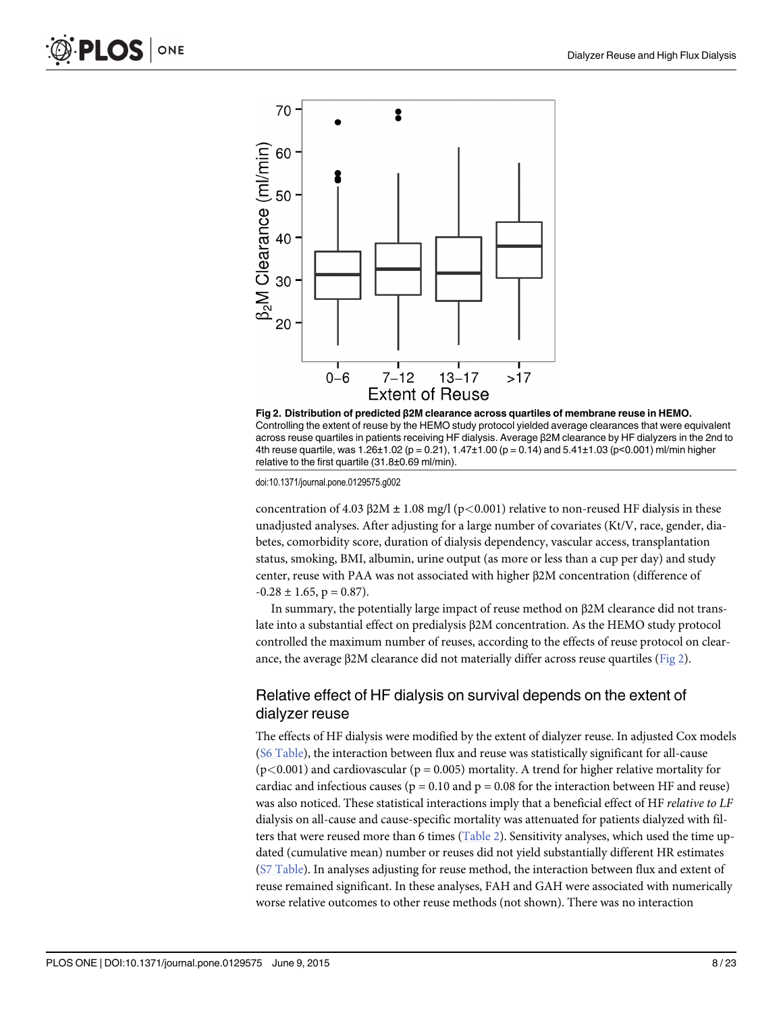<span id="page-7-0"></span>



doi:10.1371/journal.pone.0129575.g002

concentration of 4.03 β2M  $\pm$  1.08 mg/l (p<0.001) relative to non-reused HF dialysis in these unadjusted analyses. After adjusting for a large number of covariates (Kt/V, race, gender, diabetes, comorbidity score, duration of dialysis dependency, vascular access, transplantation status, smoking, BMI, albumin, urine output (as more or less than a cup per day) and study center, reuse with PAA was not associated with higher β2M concentration (difference of  $-0.28 \pm 1.65$ , p = 0.87).

In summary, the potentially large impact of reuse method on β2M clearance did not translate into a substantial effect on predialysis β2M concentration. As the HEMO study protocol controlled the maximum number of reuses, according to the effects of reuse protocol on clearance, the average β2M clearance did not materially differ across reuse quartiles (Fig 2).

### Relative effect of HF dialysis on survival depends on the extent of dialyzer reuse

The effects of HF dialysis were modified by the extent of dialyzer reuse. In adjusted Cox models [\(S6 Table](#page-17-0)), the interaction between flux and reuse was statistically significant for all-cause  $(p<0.001)$  and cardiovascular ( $p = 0.005$ ) mortality. A trend for higher relative mortality for cardiac and infectious causes ( $p = 0.10$  and  $p = 0.08$  for the interaction between HF and reuse) was also noticed. These statistical interactions imply that a beneficial effect of HF relative to LF dialysis on all-cause and cause-specific mortality was attenuated for patients dialyzed with fil-ters that were reused more than 6 times ([Table 2\)](#page-8-0). Sensitivity analyses, which used the time updated (cumulative mean) number or reuses did not yield substantially different HR estimates [\(S7 Table](#page-17-0)). In analyses adjusting for reuse method, the interaction between flux and extent of reuse remained significant. In these analyses, FAH and GAH were associated with numerically worse relative outcomes to other reuse methods (not shown). There was no interaction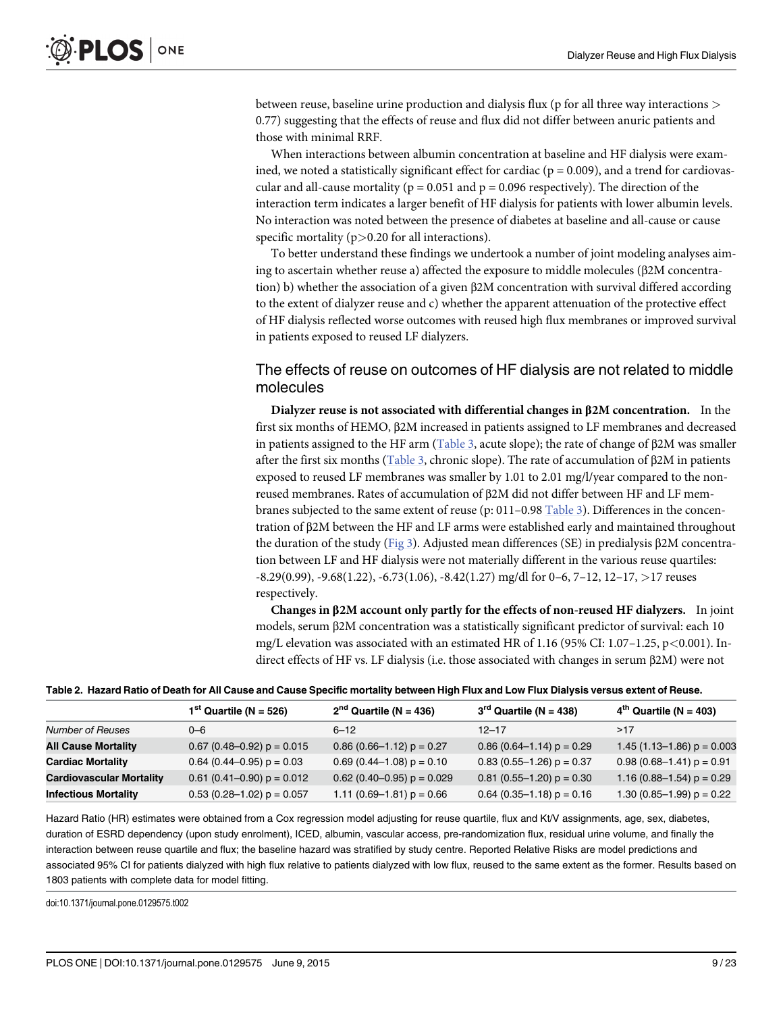<span id="page-8-0"></span>between reuse, baseline urine production and dialysis flux (p for all three way interactions  $>$ 0.77) suggesting that the effects of reuse and flux did not differ between anuric patients and those with minimal RRF.

When interactions between albumin concentration at baseline and HF dialysis were examined, we noted a statistically significant effect for cardiac ( $p = 0.009$ ), and a trend for cardiovascular and all-cause mortality ( $p = 0.051$  and  $p = 0.096$  respectively). The direction of the interaction term indicates a larger benefit of HF dialysis for patients with lower albumin levels. No interaction was noted between the presence of diabetes at baseline and all-cause or cause specific mortality  $(p>0.20$  for all interactions).

To better understand these findings we undertook a number of joint modeling analyses aiming to ascertain whether reuse a) affected the exposure to middle molecules (β2M concentration) b) whether the association of a given β2M concentration with survival differed according to the extent of dialyzer reuse and c) whether the apparent attenuation of the protective effect of HF dialysis reflected worse outcomes with reused high flux membranes or improved survival in patients exposed to reused LF dialyzers.

### The effects of reuse on outcomes of HF dialysis are not related to middle molecules

Dialyzer reuse is not associated with differential changes in  $\beta$ 2M concentration. In the first six months of HEMO, β2M increased in patients assigned to LF membranes and decreased in patients assigned to the HF arm ([Table 3,](#page-9-0) acute slope); the rate of change of β2M was smaller after the first six months [\(Table 3,](#page-9-0) chronic slope). The rate of accumulation of β2M in patients exposed to reused LF membranes was smaller by 1.01 to 2.01 mg/l/year compared to the nonreused membranes. Rates of accumulation of β2M did not differ between HF and LF membranes subjected to the same extent of reuse (p: 011–0.98 [Table 3\)](#page-9-0). Differences in the concentration of β2M between the HF and LF arms were established early and maintained throughout the duration of the study [\(Fig 3\)](#page-10-0). Adjusted mean differences (SE) in predialysis β2M concentration between LF and HF dialysis were not materially different in the various reuse quartiles:  $-8.29(0.99)$ ,  $-9.68(1.22)$ ,  $-6.73(1.06)$ ,  $-8.42(1.27)$  mg/dl for 0–6, 7–12, 12–17,  $>17$  reuses respectively.

Changes in β2M account only partly for the effects of non-reused HF dialyzers. In joint models, serum β2M concentration was a statistically significant predictor of survival: each 10 mg/L elevation was associated with an estimated HR of 1.16 (95% CI:  $1.07-1.25$ , p<0.001). Indirect effects of HF vs. LF dialysis (i.e. those associated with changes in serum β2M) were not

| Table 2. Hazard Ratio of Death for All Cause and Cause Specific mortality between High Flux and Low Flux Dialysis versus extent of Reuse |  |  |
|------------------------------------------------------------------------------------------------------------------------------------------|--|--|
|------------------------------------------------------------------------------------------------------------------------------------------|--|--|

|                                 | $1st$ Quartile (N = 526)       | $2nd$ Quartile (N = 436)       | $3rd$ Quartile (N = 438)      | $4th$ Quartile (N = 403)       |
|---------------------------------|--------------------------------|--------------------------------|-------------------------------|--------------------------------|
| <b>Number of Reuses</b>         | $0 - 6$                        | $6 - 12$                       | $12 - 17$                     | >17                            |
| <b>All Cause Mortality</b>      | $0.67$ (0.48-0.92) $p = 0.015$ | $0.86$ (0.66-1.12) $p = 0.27$  | $0.86$ (0.64-1.14) $p = 0.29$ | 1.45 $(1.13 - 1.86)$ p = 0.003 |
| <b>Cardiac Mortality</b>        | $0.64$ (0.44–0.95) $p = 0.03$  | $0.69$ (0.44–1.08) $p = 0.10$  | $0.83$ (0.55-1.26) $p = 0.37$ | $0.98(0.68-1.41) p = 0.91$     |
| <b>Cardiovascular Mortality</b> | $0.61$ (0.41–0.90) $p = 0.012$ | $0.62$ (0.40-0.95) $p = 0.029$ | $0.81$ (0.55-1.20) $p = 0.30$ | 1.16 (0.88–1.54) $p = 0.29$    |
| <b>Infectious Mortality</b>     | $0.53$ (0.28-1.02) $p = 0.057$ | 1.11 (0.69–1.81) $p = 0.66$    | $0.64$ (0.35-1.18) $p = 0.16$ | 1.30 $(0.85-1.99)$ p = 0.22    |
|                                 |                                |                                |                               |                                |

Hazard Ratio (HR) estimates were obtained from a Cox regression model adjusting for reuse quartile, flux and Kt/V assignments, age, sex, diabetes, duration of ESRD dependency (upon study enrolment), ICED, albumin, vascular access, pre-randomization flux, residual urine volume, and finally the interaction between reuse quartile and flux; the baseline hazard was stratified by study centre. Reported Relative Risks are model predictions and associated 95% CI for patients dialyzed with high flux relative to patients dialyzed with low flux, reused to the same extent as the former. Results based on 1803 patients with complete data for model fitting.

doi:10.1371/journal.pone.0129575.t002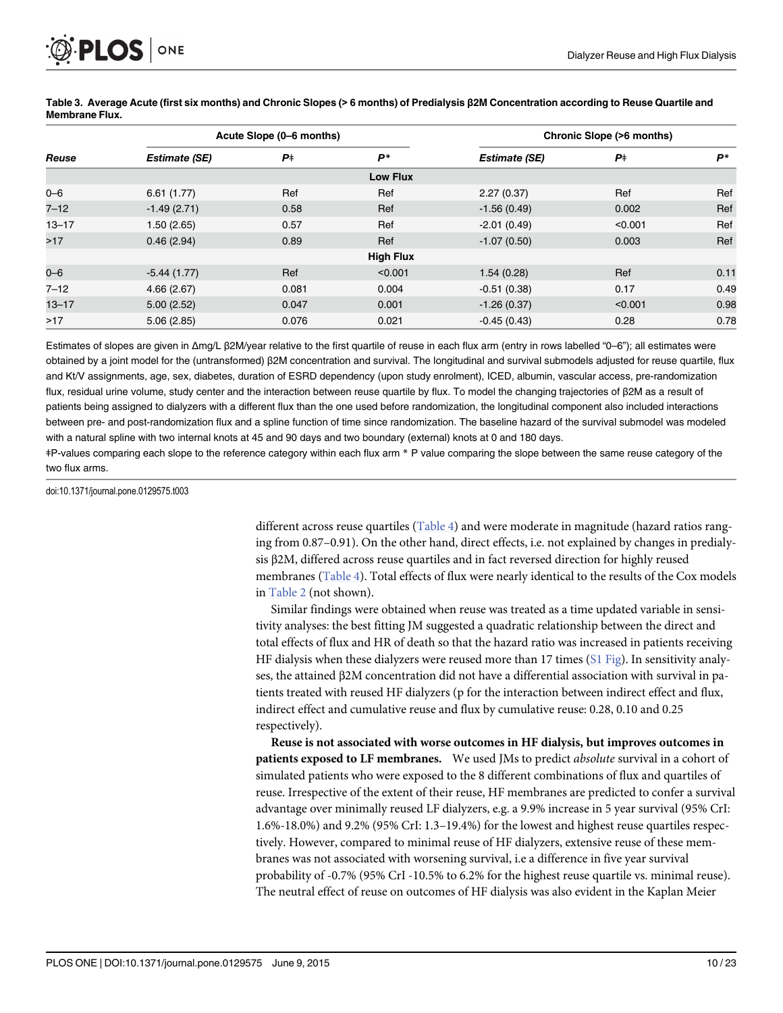<span id="page-9-0"></span>

|           |                      | Acute Slope (0–6 months) |                  | Chronic Slope (>6 months) |           |      |
|-----------|----------------------|--------------------------|------------------|---------------------------|-----------|------|
| Reuse     | <b>Estimate (SE)</b> | $P_{+}$                  | P*               | <b>Estimate (SE)</b>      | $P_{\pm}$ | P*   |
|           |                      |                          | <b>Low Flux</b>  |                           |           |      |
| $0 - 6$   | 6.61(1.77)           | Ref                      | Ref              | 2.27(0.37)                | Ref       | Ref  |
| $7 - 12$  | $-1.49(2.71)$        | 0.58                     | Ref              | $-1.56(0.49)$             | 0.002     | Ref  |
| $13 - 17$ | 1.50(2.65)           | 0.57                     | Ref              | $-2.01(0.49)$             | < 0.001   | Ref  |
| >17       | 0.46(2.94)           | 0.89                     | Ref              | $-1.07(0.50)$             | 0.003     | Ref  |
|           |                      |                          | <b>High Flux</b> |                           |           |      |
| $0 - 6$   | $-5.44(1.77)$        | Ref                      | < 0.001          | 1.54(0.28)                | Ref       | 0.11 |
| $7 - 12$  | 4.66(2.67)           | 0.081                    | 0.004            | $-0.51(0.38)$             | 0.17      | 0.49 |
| $13 - 17$ | 5.00(2.52)           | 0.047                    | 0.001            | $-1.26(0.37)$             | < 0.001   | 0.98 |
| >17       | 5.06(2.85)           | 0.076                    | 0.021            | $-0.45(0.43)$             | 0.28      | 0.78 |

[Table 3.](#page-8-0) Average Acute (first six months) and Chronic Slopes (> 6 months) of Predialysis β2M Concentration according to Reuse Quartile and Membrane Flux.

Estimates of slopes are given in Δmg/L β2M/year relative to the first quartile of reuse in each flux arm (entry in rows labelled "0–6"); all estimates were obtained by a joint model for the (untransformed) β2M concentration and survival. The longitudinal and survival submodels adjusted for reuse quartile, flux and Kt/V assignments, age, sex, diabetes, duration of ESRD dependency (upon study enrolment), ICED, albumin, vascular access, pre-randomization flux, residual urine volume, study center and the interaction between reuse quartile by flux. To model the changing trajectories of β2M as a result of patients being assigned to dialyzers with a different flux than the one used before randomization, the longitudinal component also included interactions between pre- and post-randomization flux and a spline function of time since randomization. The baseline hazard of the survival submodel was modeled with a natural spline with two internal knots at 45 and 90 days and two boundary (external) knots at 0 and 180 days.

ǂP-values comparing each slope to the reference category within each flux arm \* P value comparing the slope between the same reuse category of the two flux arms.

doi:10.1371/journal.pone.0129575.t003

different across reuse quartiles ([Table 4](#page-10-0)) and were moderate in magnitude (hazard ratios ranging from 0.87–0.91). On the other hand, direct effects, i.e. not explained by changes in predialysis β2M, differed across reuse quartiles and in fact reversed direction for highly reused membranes [\(Table 4](#page-10-0)). Total effects of flux were nearly identical to the results of the Cox models in [Table 2](#page-8-0) (not shown).

Similar findings were obtained when reuse was treated as a time updated variable in sensitivity analyses: the best fitting JM suggested a quadratic relationship between the direct and total effects of flux and HR of death so that the hazard ratio was increased in patients receiving HF dialysis when these dialyzers were reused more than 17 times  $(S1 \text{ Fig})$ . In sensitivity analyses, the attained β2M concentration did not have a differential association with survival in patients treated with reused HF dialyzers (p for the interaction between indirect effect and flux, indirect effect and cumulative reuse and flux by cumulative reuse: 0.28, 0.10 and 0.25 respectively).

Reuse is not associated with worse outcomes in HF dialysis, but improves outcomes in patients exposed to LF membranes. We used JMs to predict absolute survival in a cohort of simulated patients who were exposed to the 8 different combinations of flux and quartiles of reuse. Irrespective of the extent of their reuse, HF membranes are predicted to confer a survival advantage over minimally reused LF dialyzers, e.g. a 9.9% increase in 5 year survival (95% CrI: 1.6%-18.0%) and 9.2% (95% CrI: 1.3–19.4%) for the lowest and highest reuse quartiles respectively. However, compared to minimal reuse of HF dialyzers, extensive reuse of these membranes was not associated with worsening survival, i.e a difference in five year survival probability of -0.7% (95% CrI -10.5% to 6.2% for the highest reuse quartile vs. minimal reuse). The neutral effect of reuse on outcomes of HF dialysis was also evident in the Kaplan Meier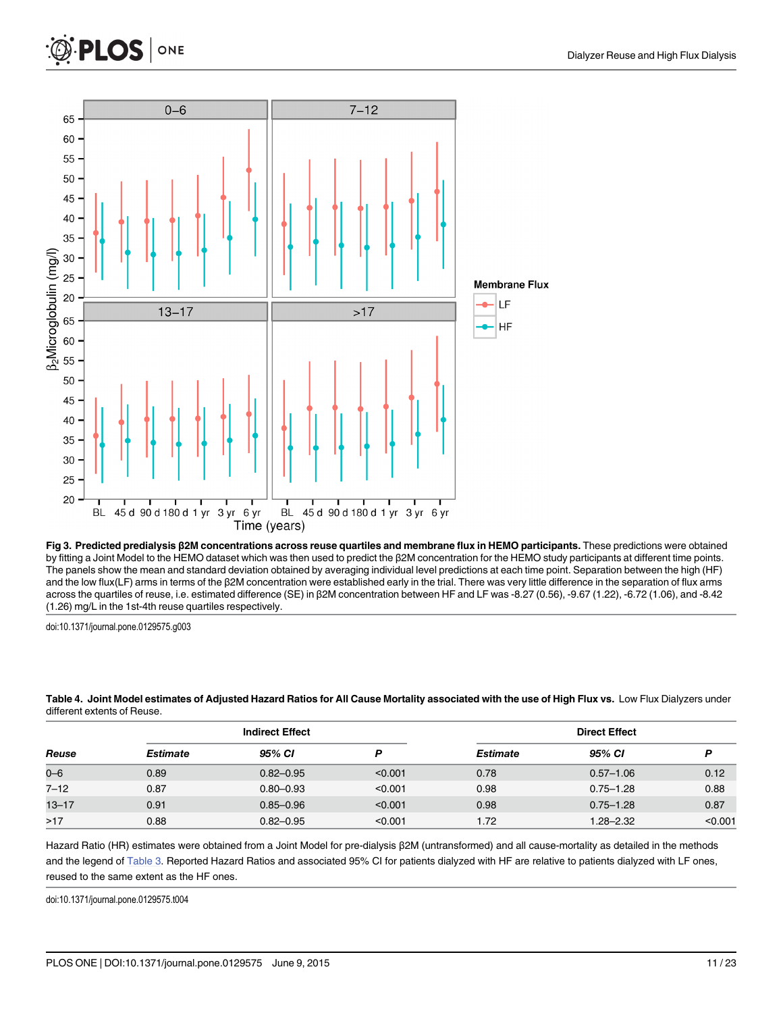<span id="page-10-0"></span>



[Fig 3. P](#page-8-0)redicted predialysis β2M concentrations across reuse quartiles and membrane flux in HEMO participants. These predictions were obtained by fitting a Joint Model to the HEMO dataset which was then used to predict the β2M concentration for the HEMO study participants at different time points. The panels show the mean and standard deviation obtained by averaging individual level predictions at each time point. Separation between the high (HF) and the low flux(LF) arms in terms of the β2M concentration were established early in the trial. There was very little difference in the separation of flux arms across the quartiles of reuse, i.e. estimated difference (SE) in β2M concentration between HF and LF was -8.27 (0.56), -9.67 (1.22), -6.72 (1.06), and -8.42 (1.26) mg/L in the 1st-4th reuse quartiles respectively.

doi:10.1371/journal.pone.0129575.g003

| <u>UIIICICIII CAICIIIS UI NEUSE.</u> |                        |               |         |                      |               |      |  |  |
|--------------------------------------|------------------------|---------------|---------|----------------------|---------------|------|--|--|
|                                      | <b>Indirect Effect</b> |               |         | <b>Direct Effect</b> |               |      |  |  |
| Reuse                                | <b>Estimate</b>        | 95% CI        |         | Estimate             | 95% CI        |      |  |  |
| $0 - 6$                              | 0.89                   | $0.82 - 0.95$ | < 0.001 | 0.78                 | $0.57 - 1.06$ | 0.12 |  |  |

7–12 0.87 0.80–0.93 <0.001 0.98 0.75–1.28 0.88 13–17 0.91 0.85–0.96 <0.001 0.98 0.75–1.28 0.87 >17 0.88 0.82–0.95 <0.001 1.72 1.28–2.32 <0.001

[Table 4.](#page-9-0) Joint Model estimates of Adjusted Hazard Ratios for All Cause Mortality associated with the use of High Flux vs. Low Flux Dialyzers under different extents of Reuse.

Hazard Ratio (HR) estimates were obtained from a Joint Model for pre-dialysis β2M (untransformed) and all cause-mortality as detailed in the methods and the legend of [Table 3.](#page-9-0) Reported Hazard Ratios and associated 95% CI for patients dialyzed with HF are relative to patients dialyzed with LF ones, reused to the same extent as the HF ones.

doi:10.1371/journal.pone.0129575.t004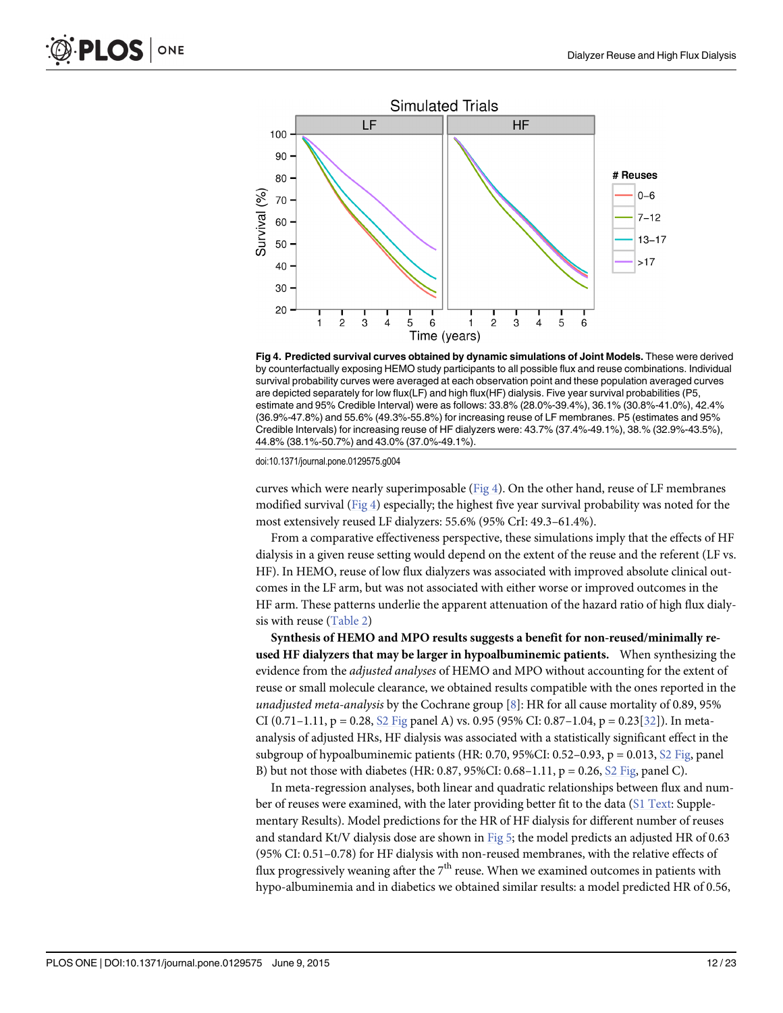<span id="page-11-0"></span>

Fig 4. Predicted survival curves obtained by dynamic simulations of Joint Models. These were derived by counterfactually exposing HEMO study participants to all possible flux and reuse combinations. Individual survival probability curves were averaged at each observation point and these population averaged curves are depicted separately for low flux(LF) and high flux(HF) dialysis. Five year survival probabilities (P5, estimate and 95% Credible Interval) were as follows: 33.8% (28.0%-39.4%), 36.1% (30.8%-41.0%), 42.4% (36.9%-47.8%) and 55.6% (49.3%-55.8%) for increasing reuse of LF membranes. P5 (estimates and 95% Credible Intervals) for increasing reuse of HF dialyzers were: 43.7% (37.4%-49.1%), 38.% (32.9%-43.5%), 44.8% (38.1%-50.7%) and 43.0% (37.0%-49.1%).

doi:10.1371/journal.pone.0129575.g004

curves which were nearly superimposable ( $Fig 4$ ). On the other hand, reuse of LF membranes modified survival (Fig 4) especially; the highest five year survival probability was noted for the most extensively reused LF dialyzers: 55.6% (95% CrI: 49.3–61.4%).

From a comparative effectiveness perspective, these simulations imply that the effects of HF dialysis in a given reuse setting would depend on the extent of the reuse and the referent (LF vs. HF). In HEMO, reuse of low flux dialyzers was associated with improved absolute clinical outcomes in the LF arm, but was not associated with either worse or improved outcomes in the HF arm. These patterns underlie the apparent attenuation of the hazard ratio of high flux dialysis with reuse ([Table 2\)](#page-8-0)

Synthesis of HEMO and MPO results suggests a benefit for non-reused/minimally reused HF dialyzers that may be larger in hypoalbuminemic patients. When synthesizing the evidence from the *adjusted analyses* of HEMO and MPO without accounting for the extent of reuse or small molecule clearance, we obtained results compatible with the ones reported in the unadjusted meta-analysis by the Cochrane group  $[8]$ : HR for all cause mortality of 0.89, 95% CI (0.71–1.11, p = 0.28,  $S2$  Fig panel A) vs. 0.95 (95% CI: 0.87–1.04, p = 0.23[[32](#page-19-0)]). In metaanalysis of adjusted HRs, HF dialysis was associated with a statistically significant effect in the subgroup of hypoalbuminemic patients (HR: 0.70, 95%CI: 0.52–0.93,  $p = 0.013$ ,  $\Omega$  Fig, panel B) but not those with diabetes (HR: 0.87, 95%CI: 0.68–1.11,  $p = 0.26$ ,  $S2$  Fig, panel C).

In meta-regression analyses, both linear and quadratic relationships between flux and number of reuses were examined, with the later providing better fit to the data [\(S1 Text:](#page-17-0) Supplementary Results). Model predictions for the HR of HF dialysis for different number of reuses and standard Kt/V dialysis dose are shown in  $Fig 5$ ; the model predicts an adjusted HR of 0.63 (95% CI: 0.51–0.78) for HF dialysis with non-reused membranes, with the relative effects of flux progressively weaning after the  $7<sup>th</sup>$  reuse. When we examined outcomes in patients with hypo-albuminemia and in diabetics we obtained similar results: a model predicted HR of 0.56,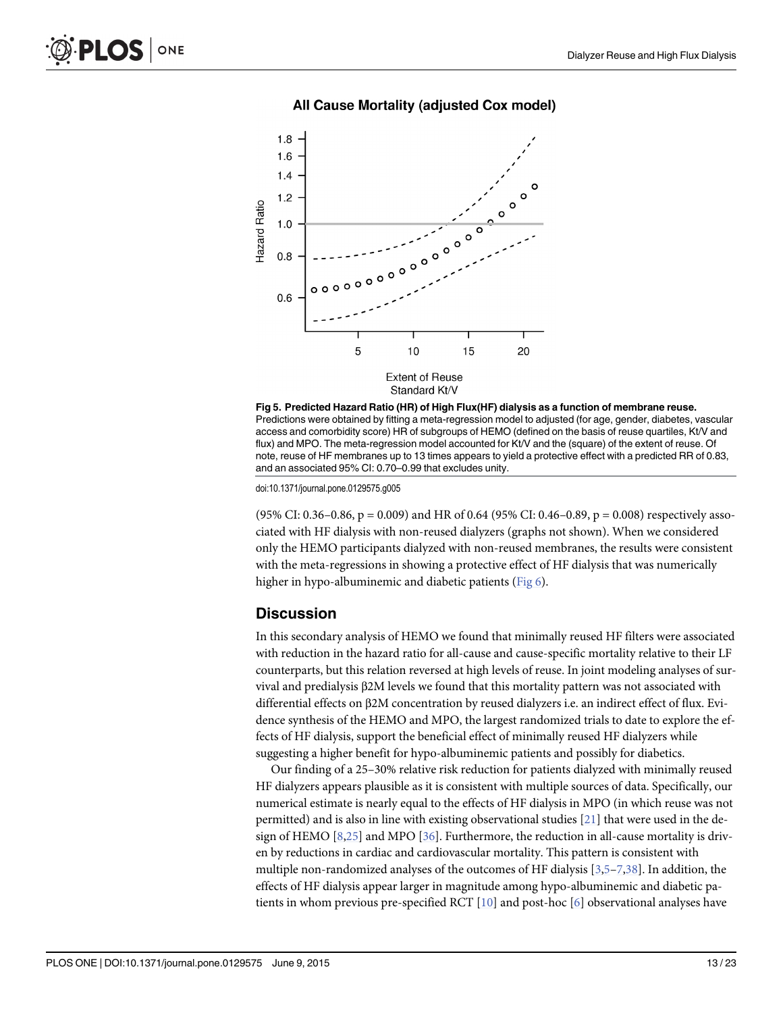<span id="page-12-0"></span>

#### All Cause Mortality (adjusted Cox model)



doi:10.1371/journal.pone.0129575.g005

 $(95\% \text{ CI: } 0.36-0.86, \text{ p} = 0.009)$  and HR of 0.64 (95% CI: 0.46–0.89, p = 0.008) respectively associated with HF dialysis with non-reused dialyzers (graphs not shown). When we considered only the HEMO participants dialyzed with non-reused membranes, the results were consistent with the meta-regressions in showing a protective effect of HF dialysis that was numerically higher in hypo-albuminemic and diabetic patients [\(Fig 6](#page-14-0)).

#### **Discussion**

In this secondary analysis of HEMO we found that minimally reused HF filters were associated with reduction in the hazard ratio for all-cause and cause-specific mortality relative to their LF counterparts, but this relation reversed at high levels of reuse. In joint modeling analyses of survival and predialysis β2M levels we found that this mortality pattern was not associated with differential effects on β2M concentration by reused dialyzers i.e. an indirect effect of flux. Evidence synthesis of the HEMO and MPO, the largest randomized trials to date to explore the effects of HF dialysis, support the beneficial effect of minimally reused HF dialyzers while suggesting a higher benefit for hypo-albuminemic patients and possibly for diabetics.

Our finding of a 25–30% relative risk reduction for patients dialyzed with minimally reused HF dialyzers appears plausible as it is consistent with multiple sources of data. Specifically, our numerical estimate is nearly equal to the effects of HF dialysis in MPO (in which reuse was not permitted) and is also in line with existing observational studies [\[21\]](#page-19-0) that were used in the design of HEMO  $[8,25]$  $[8,25]$  $[8,25]$  $[8,25]$  and MPO  $[36]$  $[36]$  $[36]$ . Furthermore, the reduction in all-cause mortality is driven by reductions in cardiac and cardiovascular mortality. This pattern is consistent with multiple non-randomized analyses of the outcomes of HF dialysis [\[3,5](#page-18-0)–[7](#page-18-0)[,38\]](#page-19-0). In addition, the effects of HF dialysis appear larger in magnitude among hypo-albuminemic and diabetic patients in whom previous pre-specified RCT  $[10]$  and post-hoc  $[6]$  observational analyses have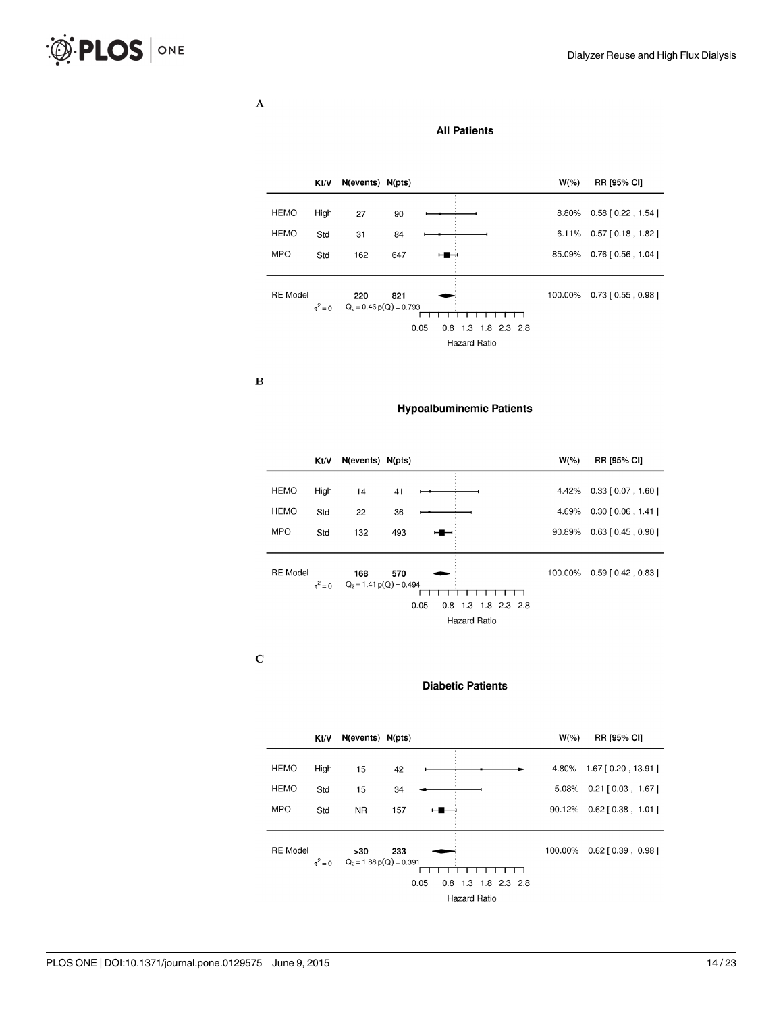$\mathbf{A}$ 

|                 | Kt/V         | N(events) N(pts)                 |     |                               | $W(\% )$ | <b>RR [95% CI]</b>          |
|-----------------|--------------|----------------------------------|-----|-------------------------------|----------|-----------------------------|
|                 |              |                                  |     |                               |          |                             |
| <b>HEMO</b>     | High         | 27                               | 90  |                               | 8.80%    | $0.58$ [ $0.22$ , 1.54 ]    |
| <b>HEMO</b>     | Std          | 31                               | 84  |                               |          | 6.11% $0.57$ [ 0.18, 1.82 ] |
| <b>MPO</b>      | Std          | 162                              | 647 |                               | 85.09%   | $0.76$ [ $0.56$ , 1.04 ]    |
|                 |              |                                  |     |                               |          |                             |
| <b>RE</b> Model |              | 220<br>$Q_2 = 0.46 p(Q) = 0.793$ | 821 |                               | 100.00%  | $0.73$ [ $0.55$ , $0.98$ ]  |
|                 | $\tau^2 = 0$ |                                  |     |                               |          |                             |
|                 |              |                                  |     | 0.05<br>$0.8$ 1.3 1.8 2.3 2.8 |          |                             |
|                 |              |                                  |     | <b>Hazard Ratio</b>           |          |                             |

**All Patients** 

 $\, {\bf B}$ 

**Hypoalbuminemic Patients** 

|                 | Kt/V         | N(events) N(pts)          |     |                               | $W(\% )$ | <b>RR [95% CI]</b>         |
|-----------------|--------------|---------------------------|-----|-------------------------------|----------|----------------------------|
|                 |              |                           |     |                               |          |                            |
| <b>HEMO</b>     | High         | 14                        | 41  |                               | 4.42%    | $0.33$ [ $0.07$ , 1.60 ]   |
| <b>HEMO</b>     | Std          | 22                        | 36  |                               | 4.69%    | $0.30$ $[0.06, 1.41]$      |
| <b>MPO</b>      | Std          | 132                       | 493 |                               | 90.89%   | $0.63$ [ $0.45$ , $0.90$ ] |
|                 |              |                           |     |                               |          |                            |
| <b>RE</b> Model |              | 168                       | 570 |                               | 100.00%  | $0.59$ [ $0.42$ , $0.83$ ] |
|                 | $\tau^2 = 0$ | $Q_2 = 1.41 p(Q) = 0.494$ |     |                               |          |                            |
|                 |              |                           |     | 0.05<br>$0.8$ 1.3 1.8 2.3 2.8 |          |                            |
|                 |              |                           |     | <b>Hazard Ratio</b>           |          |                            |

 $\mathbf C$ 

#### **Diabetic Patients**

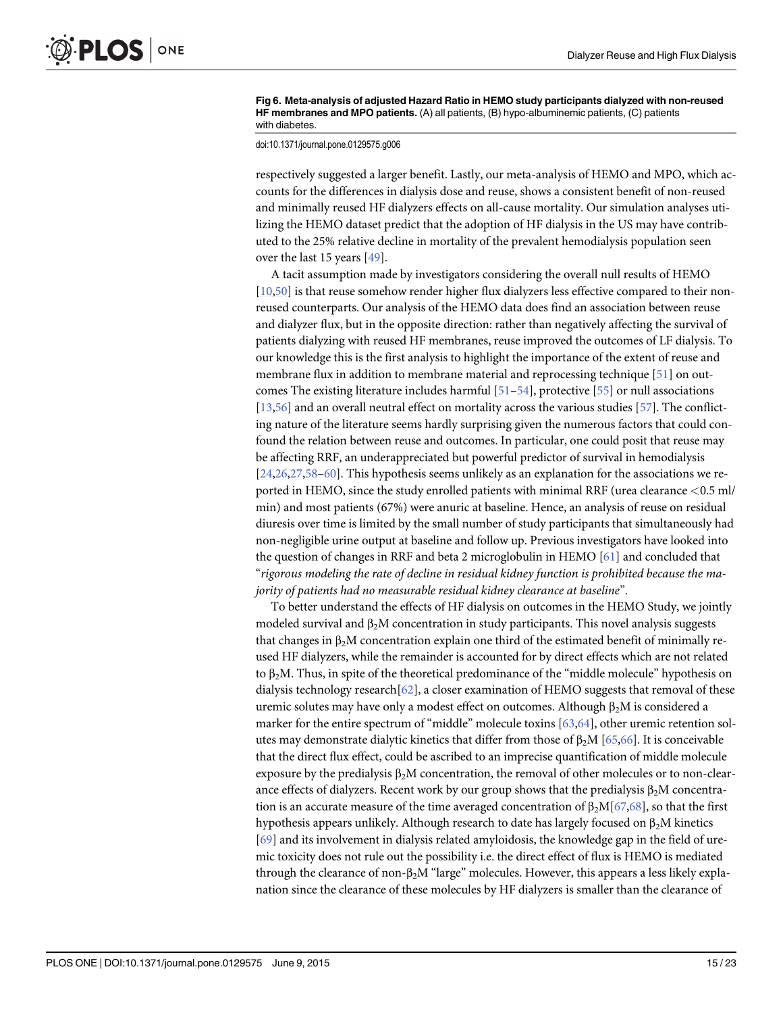<span id="page-14-0"></span>[Fig 6. M](#page-12-0)eta-analysis of adjusted Hazard Ratio in HEMO study participants dialyzed with non-reused HF membranes and MPO patients. (A) all patients, (B) hypo-albuminemic patients, (C) patients with diabetes.

doi:10.1371/journal.pone.0129575.g006

respectively suggested a larger benefit. Lastly, our meta-analysis of HEMO and MPO, which accounts for the differences in dialysis dose and reuse, shows a consistent benefit of non-reused and minimally reused HF dialyzers effects on all-cause mortality. Our simulation analyses utilizing the HEMO dataset predict that the adoption of HF dialysis in the US may have contributed to the 25% relative decline in mortality of the prevalent hemodialysis population seen over the last 15 years [[49\]](#page-20-0).

A tacit assumption made by investigators considering the overall null results of HEMO [\[10](#page-18-0)[,50\]](#page-20-0) is that reuse somehow render higher flux dialyzers less effective compared to their nonreused counterparts. Our analysis of the HEMO data does find an association between reuse and dialyzer flux, but in the opposite direction: rather than negatively affecting the survival of patients dialyzing with reused HF membranes, reuse improved the outcomes of LF dialysis. To our knowledge this is the first analysis to highlight the importance of the extent of reuse and membrane flux in addition to membrane material and reprocessing technique [\[51\]](#page-20-0) on outcomes The existing literature includes harmful  $[51–54]$  $[51–54]$  $[51–54]$  $[51–54]$ , protective  $[55]$  or null associations [\[13](#page-18-0)[,56\]](#page-20-0) and an overall neutral effect on mortality across the various studies [\[57](#page-20-0)]. The conflicting nature of the literature seems hardly surprising given the numerous factors that could confound the relation between reuse and outcomes. In particular, one could posit that reuse may be affecting RRF, an underappreciated but powerful predictor of survival in hemodialysis  $[24,26,27,58-60]$  $[24,26,27,58-60]$  $[24,26,27,58-60]$  $[24,26,27,58-60]$  $[24,26,27,58-60]$ . This hypothesis seems unlikely as an explanation for the associations we reported in HEMO, since the study enrolled patients with minimal RRF (urea clearance <0.5 ml/ min) and most patients (67%) were anuric at baseline. Hence, an analysis of reuse on residual diuresis over time is limited by the small number of study participants that simultaneously had non-negligible urine output at baseline and follow up. Previous investigators have looked into the question of changes in RRF and beta 2 microglobulin in HEMO [\[61\]](#page-20-0) and concluded that "rigorous modeling the rate of decline in residual kidney function is prohibited because the majority of patients had no measurable residual kidney clearance at baseline".

To better understand the effects of HF dialysis on outcomes in the HEMO Study, we jointly modeled survival and  $\beta_2M$  concentration in study participants. This novel analysis suggests that changes in β<sub>2</sub>M concentration explain one third of the estimated benefit of minimally reused HF dialyzers, while the remainder is accounted for by direct effects which are not related to  $\beta_2$ M. Thus, in spite of the theoretical predominance of the "middle molecule" hypothesis on dialysis technology research $[62]$  $[62]$ , a closer examination of HEMO suggests that removal of these uremic solutes may have only a modest effect on outcomes. Although  $β_2M$  is considered a marker for the entire spectrum of "middle" molecule toxins  $[63,64]$  $[63,64]$  $[63,64]$ , other uremic retention solutes may demonstrate dialytic kinetics that differ from those of  $\beta_2 M$  [[65,66](#page-21-0)]. It is conceivable that the direct flux effect, could be ascribed to an imprecise quantification of middle molecule exposure by the predialysis  $\beta_2M$  concentration, the removal of other molecules or to non-clearance effects of dialyzers. Recent work by our group shows that the predialysis  $\beta_2M$  concentration is an accurate measure of the time averaged concentration of  $\beta_2M[67,68]$  $\beta_2M[67,68]$ , so that the first hypothesis appears unlikely. Although research to date has largely focused on  $\beta_2M$  kinetics [\[69](#page-21-0)] and its involvement in dialysis related amyloidosis, the knowledge gap in the field of uremic toxicity does not rule out the possibility i.e. the direct effect of flux is HEMO is mediated through the clearance of non- $\beta_2$ M "large" molecules. However, this appears a less likely explanation since the clearance of these molecules by HF dialyzers is smaller than the clearance of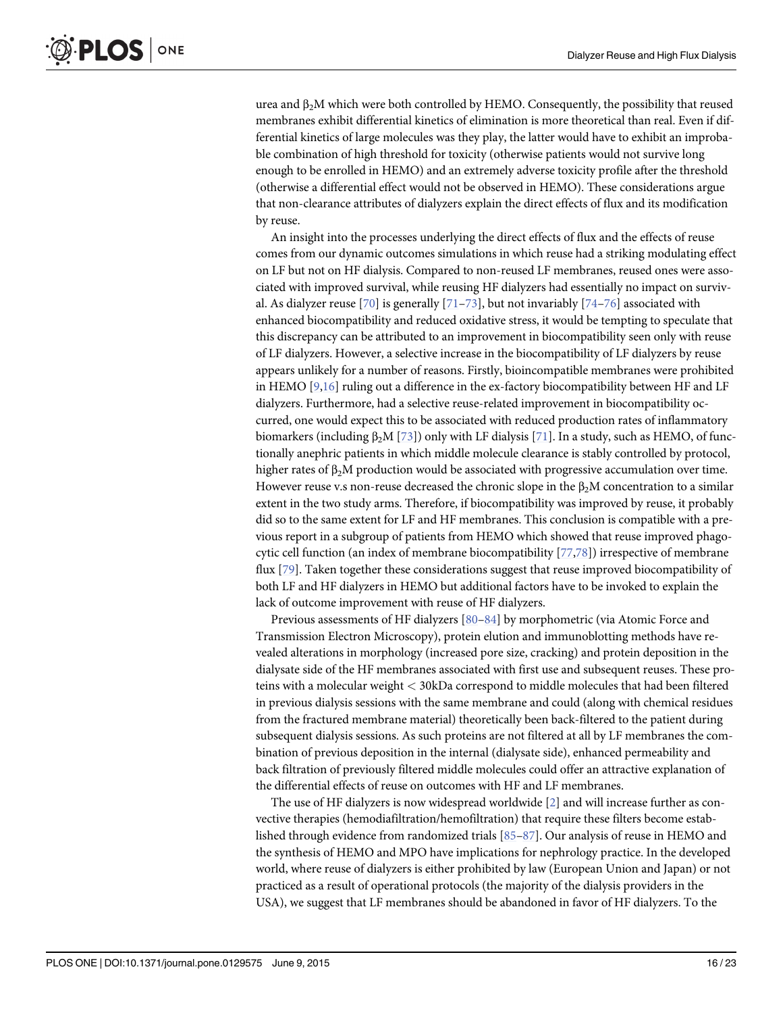<span id="page-15-0"></span>urea and β<sub>2</sub>M which were both controlled by HEMO. Consequently, the possibility that reused membranes exhibit differential kinetics of elimination is more theoretical than real. Even if differential kinetics of large molecules was they play, the latter would have to exhibit an improbable combination of high threshold for toxicity (otherwise patients would not survive long enough to be enrolled in HEMO) and an extremely adverse toxicity profile after the threshold (otherwise a differential effect would not be observed in HEMO). These considerations argue that non-clearance attributes of dialyzers explain the direct effects of flux and its modification by reuse.

An insight into the processes underlying the direct effects of flux and the effects of reuse comes from our dynamic outcomes simulations in which reuse had a striking modulating effect on LF but not on HF dialysis. Compared to non-reused LF membranes, reused ones were associated with improved survival, while reusing HF dialyzers had essentially no impact on surviv-al. As dialyzer reuse [[70\]](#page-21-0) is generally [\[71](#page-21-0)–[73\]](#page-21-0), but not invariably [[74](#page-21-0)–[76](#page-21-0)] associated with enhanced biocompatibility and reduced oxidative stress, it would be tempting to speculate that this discrepancy can be attributed to an improvement in biocompatibility seen only with reuse of LF dialyzers. However, a selective increase in the biocompatibility of LF dialyzers by reuse appears unlikely for a number of reasons. Firstly, bioincompatible membranes were prohibited in HEMO  $[9,16]$  ruling out a difference in the ex-factory biocompatibility between HF and LF dialyzers. Furthermore, had a selective reuse-related improvement in biocompatibility occurred, one would expect this to be associated with reduced production rates of inflammatory biomarkers (including  $\beta_2M$  [[73](#page-21-0)]) only with LF dialysis [\[71\]](#page-21-0). In a study, such as HEMO, of functionally anephric patients in which middle molecule clearance is stably controlled by protocol, higher rates of  $\beta_2M$  production would be associated with progressive accumulation over time. However reuse v.s non-reuse decreased the chronic slope in the  $\beta_2M$  concentration to a similar extent in the two study arms. Therefore, if biocompatibility was improved by reuse, it probably did so to the same extent for LF and HF membranes. This conclusion is compatible with a previous report in a subgroup of patients from HEMO which showed that reuse improved phagocytic cell function (an index of membrane biocompatibility [[77,78\]](#page-21-0)) irrespective of membrane flux [[79\]](#page-21-0). Taken together these considerations suggest that reuse improved biocompatibility of both LF and HF dialyzers in HEMO but additional factors have to be invoked to explain the lack of outcome improvement with reuse of HF dialyzers.

Previous assessments of HF dialyzers [\[80](#page-21-0)–[84](#page-21-0)] by morphometric (via Atomic Force and Transmission Electron Microscopy), protein elution and immunoblotting methods have revealed alterations in morphology (increased pore size, cracking) and protein deposition in the dialysate side of the HF membranes associated with first use and subsequent reuses. These proteins with a molecular weight < 30kDa correspond to middle molecules that had been filtered in previous dialysis sessions with the same membrane and could (along with chemical residues from the fractured membrane material) theoretically been back-filtered to the patient during subsequent dialysis sessions. As such proteins are not filtered at all by LF membranes the combination of previous deposition in the internal (dialysate side), enhanced permeability and back filtration of previously filtered middle molecules could offer an attractive explanation of the differential effects of reuse on outcomes with HF and LF membranes.

The use of HF dialyzers is now widespread worldwide  $[2]$  $[2]$  and will increase further as convective therapies (hemodiafiltration/hemofiltration) that require these filters become established through evidence from randomized trials [\[85](#page-21-0)–[87\]](#page-22-0). Our analysis of reuse in HEMO and the synthesis of HEMO and MPO have implications for nephrology practice. In the developed world, where reuse of dialyzers is either prohibited by law (European Union and Japan) or not practiced as a result of operational protocols (the majority of the dialysis providers in the USA), we suggest that LF membranes should be abandoned in favor of HF dialyzers. To the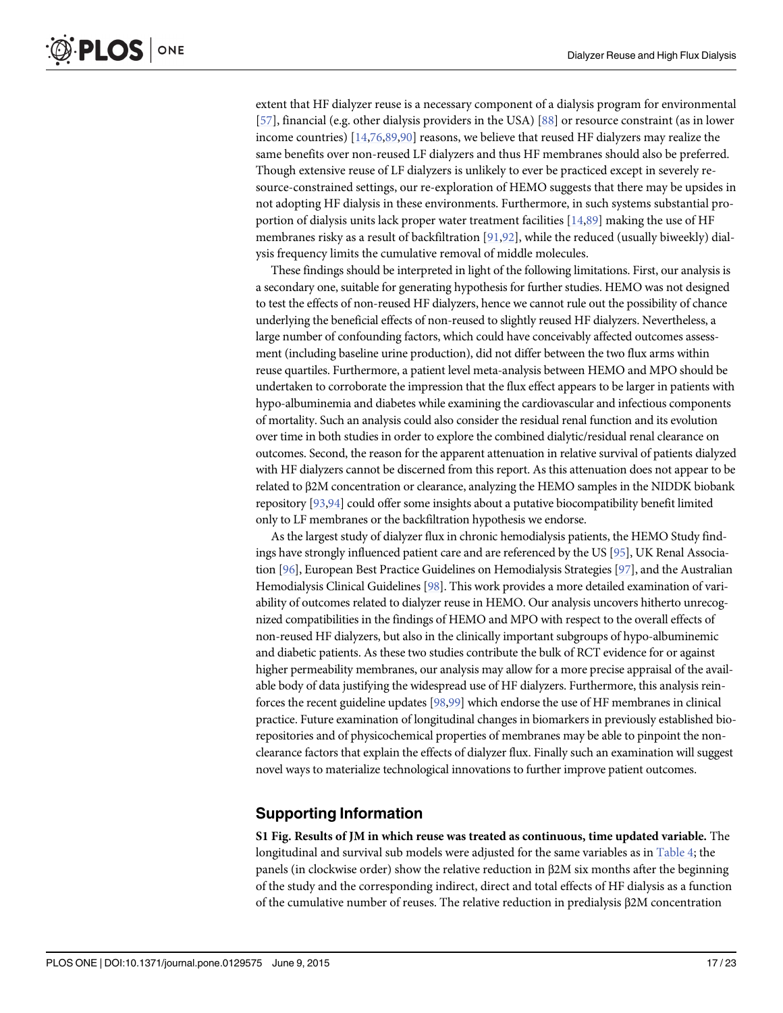<span id="page-16-0"></span>extent that HF dialyzer reuse is a necessary component of a dialysis program for environmental [\[57](#page-20-0)], financial (e.g. other dialysis providers in the USA) [[88](#page-22-0)] or resource constraint (as in lower income countries) [[14](#page-18-0)[,76](#page-21-0)[,89,90\]](#page-22-0) reasons, we believe that reused HF dialyzers may realize the same benefits over non-reused LF dialyzers and thus HF membranes should also be preferred. Though extensive reuse of LF dialyzers is unlikely to ever be practiced except in severely resource-constrained settings, our re-exploration of HEMO suggests that there may be upsides in not adopting HF dialysis in these environments. Furthermore, in such systems substantial proportion of dialysis units lack proper water treatment facilities [[14](#page-18-0)[,89](#page-22-0)] making the use of HF membranes risky as a result of backfiltration [\[91,92](#page-22-0)], while the reduced (usually biweekly) dialysis frequency limits the cumulative removal of middle molecules.

These findings should be interpreted in light of the following limitations. First, our analysis is a secondary one, suitable for generating hypothesis for further studies. HEMO was not designed to test the effects of non-reused HF dialyzers, hence we cannot rule out the possibility of chance underlying the beneficial effects of non-reused to slightly reused HF dialyzers. Nevertheless, a large number of confounding factors, which could have conceivably affected outcomes assessment (including baseline urine production), did not differ between the two flux arms within reuse quartiles. Furthermore, a patient level meta-analysis between HEMO and MPO should be undertaken to corroborate the impression that the flux effect appears to be larger in patients with hypo-albuminemia and diabetes while examining the cardiovascular and infectious components of mortality. Such an analysis could also consider the residual renal function and its evolution over time in both studies in order to explore the combined dialytic/residual renal clearance on outcomes. Second, the reason for the apparent attenuation in relative survival of patients dialyzed with HF dialyzers cannot be discerned from this report. As this attenuation does not appear to be related to β2M concentration or clearance, analyzing the HEMO samples in the NIDDK biobank repository [\[93](#page-22-0),[94](#page-22-0)] could offer some insights about a putative biocompatibility benefit limited only to LF membranes or the backfiltration hypothesis we endorse.

As the largest study of dialyzer flux in chronic hemodialysis patients, the HEMO Study findings have strongly influenced patient care and are referenced by the US [\[95](#page-22-0)], UK Renal Association [\[96\]](#page-22-0), European Best Practice Guidelines on Hemodialysis Strategies [[97](#page-22-0)], and the Australian Hemodialysis Clinical Guidelines [\[98\]](#page-22-0). This work provides a more detailed examination of variability of outcomes related to dialyzer reuse in HEMO. Our analysis uncovers hitherto unrecognized compatibilities in the findings of HEMO and MPO with respect to the overall effects of non-reused HF dialyzers, but also in the clinically important subgroups of hypo-albuminemic and diabetic patients. As these two studies contribute the bulk of RCT evidence for or against higher permeability membranes, our analysis may allow for a more precise appraisal of the available body of data justifying the widespread use of HF dialyzers. Furthermore, this analysis reinforces the recent guideline updates [\[98,99](#page-22-0)] which endorse the use of HF membranes in clinical practice. Future examination of longitudinal changes in biomarkers in previously established biorepositories and of physicochemical properties of membranes may be able to pinpoint the nonclearance factors that explain the effects of dialyzer flux. Finally such an examination will suggest novel ways to materialize technological innovations to further improve patient outcomes.

# Supporting Information

[S1 Fig.](http://www.plosone.org/article/fetchSingleRepresentation.action?uri=info:doi/10.1371/journal.pone.0129575.s001) Results of JM in which reuse was treated as continuous, time updated variable. The longitudinal and survival sub models were adjusted for the same variables as in [Table 4;](#page-10-0) the panels (in clockwise order) show the relative reduction in β2M six months after the beginning of the study and the corresponding indirect, direct and total effects of HF dialysis as a function of the cumulative number of reuses. The relative reduction in predialysis β2M concentration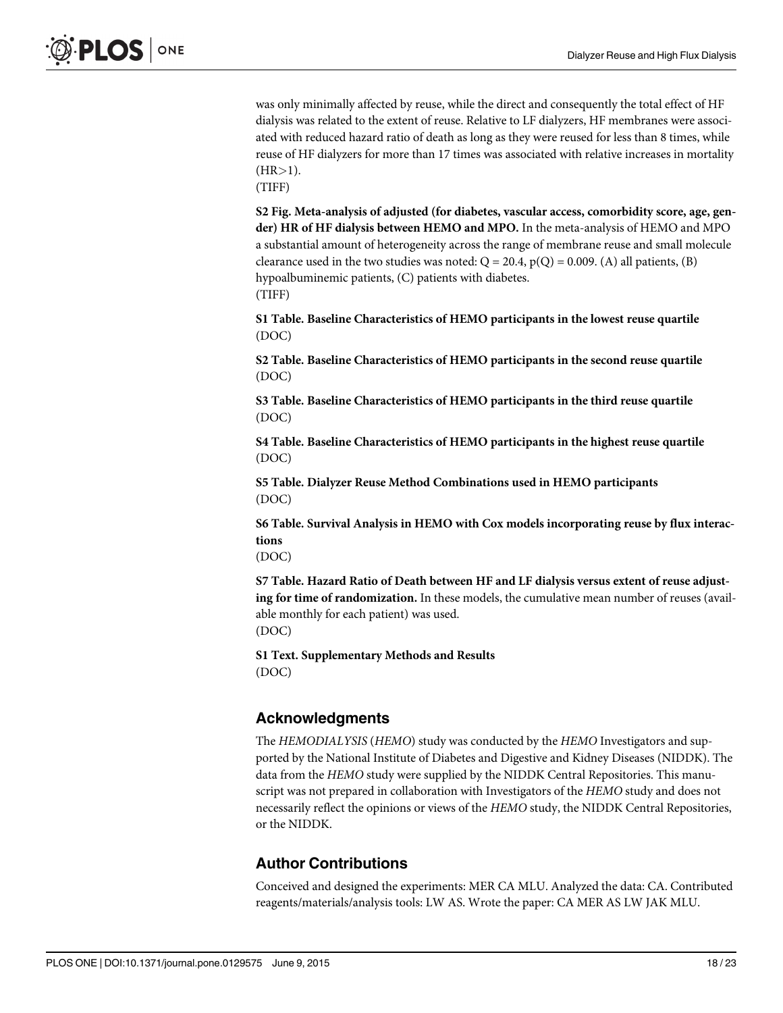<span id="page-17-0"></span>was only minimally affected by reuse, while the direct and consequently the total effect of HF dialysis was related to the extent of reuse. Relative to LF dialyzers, HF membranes were associated with reduced hazard ratio of death as long as they were reused for less than 8 times, while reuse of HF dialyzers for more than 17 times was associated with relative increases in mortality  $(HR>1).$ 

(TIFF)

[S2 Fig.](http://www.plosone.org/article/fetchSingleRepresentation.action?uri=info:doi/10.1371/journal.pone.0129575.s002) Meta-analysis of adjusted (for diabetes, vascular access, comorbidity score, age, gender) HR of HF dialysis between HEMO and MPO. In the meta-analysis of HEMO and MPO a substantial amount of heterogeneity across the range of membrane reuse and small molecule clearance used in the two studies was noted:  $Q = 20.4$ ,  $p(Q) = 0.009$ . (A) all patients, (B) hypoalbuminemic patients, (C) patients with diabetes. (TIFF)

[S1 Table](http://www.plosone.org/article/fetchSingleRepresentation.action?uri=info:doi/10.1371/journal.pone.0129575.s003). Baseline Characteristics of HEMO participants in the lowest reuse quartile (DOC)

[S2 Table](http://www.plosone.org/article/fetchSingleRepresentation.action?uri=info:doi/10.1371/journal.pone.0129575.s004). Baseline Characteristics of HEMO participants in the second reuse quartile (DOC)

[S3 Table](http://www.plosone.org/article/fetchSingleRepresentation.action?uri=info:doi/10.1371/journal.pone.0129575.s005). Baseline Characteristics of HEMO participants in the third reuse quartile (DOC)

[S4 Table](http://www.plosone.org/article/fetchSingleRepresentation.action?uri=info:doi/10.1371/journal.pone.0129575.s006). Baseline Characteristics of HEMO participants in the highest reuse quartile (DOC)

[S5 Table](http://www.plosone.org/article/fetchSingleRepresentation.action?uri=info:doi/10.1371/journal.pone.0129575.s007). Dialyzer Reuse Method Combinations used in HEMO participants (DOC)

[S6 Table](http://www.plosone.org/article/fetchSingleRepresentation.action?uri=info:doi/10.1371/journal.pone.0129575.s008). Survival Analysis in HEMO with Cox models incorporating reuse by flux interactions

(DOC)

[S7 Table](http://www.plosone.org/article/fetchSingleRepresentation.action?uri=info:doi/10.1371/journal.pone.0129575.s009). Hazard Ratio of Death between HF and LF dialysis versus extent of reuse adjusting for time of randomization. In these models, the cumulative mean number of reuses (available monthly for each patient) was used. (DOC)

[S1 Text.](http://www.plosone.org/article/fetchSingleRepresentation.action?uri=info:doi/10.1371/journal.pone.0129575.s010) Supplementary Methods and Results (DOC)

# Acknowledgments

The HEMODIALYSIS (HEMO) study was conducted by the HEMO Investigators and supported by the National Institute of Diabetes and Digestive and Kidney Diseases (NIDDK). The data from the HEMO study were supplied by the NIDDK Central Repositories. This manuscript was not prepared in collaboration with Investigators of the HEMO study and does not necessarily reflect the opinions or views of the HEMO study, the NIDDK Central Repositories, or the NIDDK.

# Author Contributions

Conceived and designed the experiments: MER CA MLU. Analyzed the data: CA. Contributed reagents/materials/analysis tools: LW AS. Wrote the paper: CA MER AS LW JAK MLU.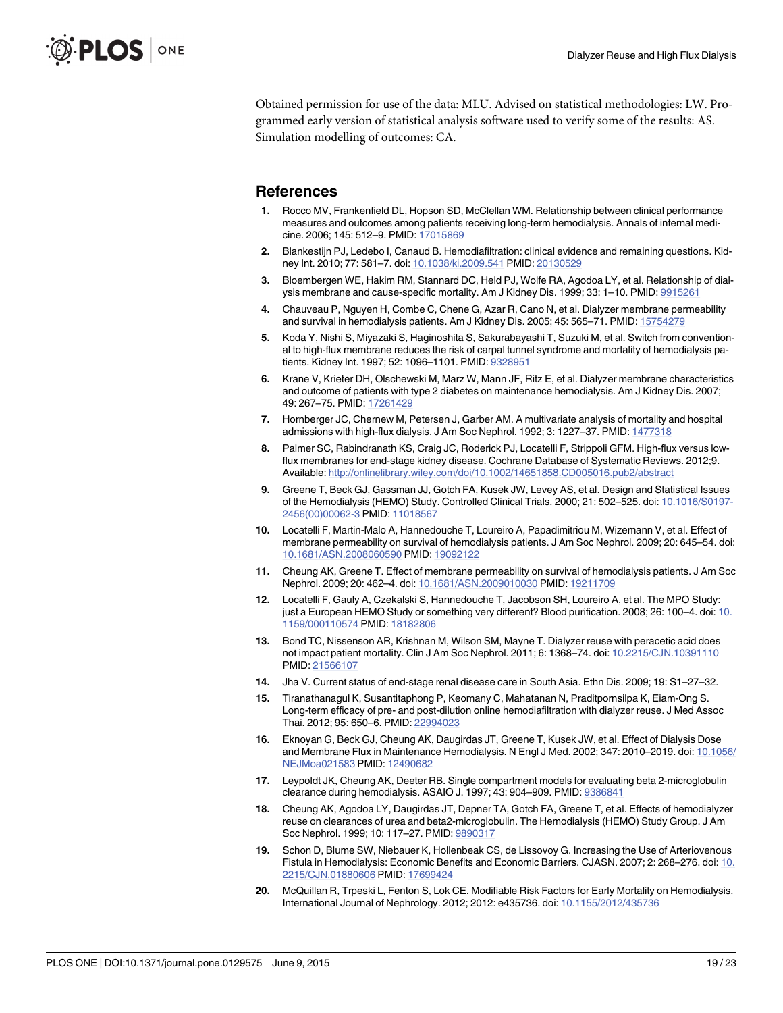<span id="page-18-0"></span>Obtained permission for use of the data: MLU. Advised on statistical methodologies: LW. Programmed early version of statistical analysis software used to verify some of the results: AS. Simulation modelling of outcomes: CA.

#### References

- [1.](#page-1-0) Rocco MV, Frankenfield DL, Hopson SD, McClellan WM. Relationship between clinical performance measures and outcomes among patients receiving long-term hemodialysis. Annals of internal medicine. 2006; 145: 512–9. PMID: [17015869](http://www.ncbi.nlm.nih.gov/pubmed/17015869)
- [2.](#page-1-0) Blankestijn PJ, Ledebo I, Canaud B. Hemodiafiltration: clinical evidence and remaining questions. Kidney Int. 2010; 77: 581–7. doi: [10.1038/ki.2009.541](http://dx.doi.org/10.1038/ki.2009.541) PMID: [20130529](http://www.ncbi.nlm.nih.gov/pubmed/20130529)
- [3.](#page-1-0) Bloembergen WE, Hakim RM, Stannard DC, Held PJ, Wolfe RA, Agodoa LY, et al. Relationship of dial-ysis membrane and cause-specific mortality. Am J Kidney Dis. 1999; 33: 1-10. PMID: [9915261](http://www.ncbi.nlm.nih.gov/pubmed/9915261)
- 4. Chauveau P, Nguyen H, Combe C, Chene G, Azar R, Cano N, et al. Dialyzer membrane permeability and survival in hemodialysis patients. Am J Kidney Dis. 2005; 45: 565–71. PMID: [15754279](http://www.ncbi.nlm.nih.gov/pubmed/15754279)
- [5.](#page-12-0) Koda Y, Nishi S, Miyazaki S, Haginoshita S, Sakurabayashi T, Suzuki M, et al. Switch from conventional to high-flux membrane reduces the risk of carpal tunnel syndrome and mortality of hemodialysis patients. Kidney Int. 1997; 52: 1096–1101. PMID: [9328951](http://www.ncbi.nlm.nih.gov/pubmed/9328951)
- [6.](#page-5-0) Krane V, Krieter DH, Olschewski M, Marz W, Mann JF, Ritz E, et al. Dialyzer membrane characteristics and outcome of patients with type 2 diabetes on maintenance hemodialysis. Am J Kidney Dis. 2007; 49: 267–75. PMID: [17261429](http://www.ncbi.nlm.nih.gov/pubmed/17261429)
- [7.](#page-1-0) Hornberger JC, Chernew M, Petersen J, Garber AM. A multivariate analysis of mortality and hospital admissions with high-flux dialysis. J Am Soc Nephrol. 1992; 3: 1227–37. PMID: [1477318](http://www.ncbi.nlm.nih.gov/pubmed/1477318)
- [8.](#page-1-0) Palmer SC, Rabindranath KS, Craig JC, Roderick PJ, Locatelli F, Strippoli GFM. High-flux versus lowflux membranes for end-stage kidney disease. Cochrane Database of Systematic Reviews. 2012;9. Available: <http://onlinelibrary.wiley.com/doi/10.1002/14651858.CD005016.pub2/abstract>
- [9.](#page-1-0) Greene T, Beck GJ, Gassman JJ, Gotch FA, Kusek JW, Levey AS, et al. Design and Statistical Issues of the Hemodialysis (HEMO) Study. Controlled Clinical Trials. 2000; 21: 502–525. doi: [10.1016/S0197-](http://dx.doi.org/10.1016/S0197-2456(00)00062-3) [2456\(00\)00062-3](http://dx.doi.org/10.1016/S0197-2456(00)00062-3) PMID: [11018567](http://www.ncbi.nlm.nih.gov/pubmed/11018567)
- [10.](#page-1-0) Locatelli F, Martin-Malo A, Hannedouche T, Loureiro A, Papadimitriou M, Wizemann V, et al. Effect of membrane permeability on survival of hemodialysis patients. J Am Soc Nephrol. 2009; 20: 645–54. doi: [10.1681/ASN.2008060590](http://dx.doi.org/10.1681/ASN.2008060590) PMID: [19092122](http://www.ncbi.nlm.nih.gov/pubmed/19092122)
- [11.](#page-1-0) Cheung AK, Greene T. Effect of membrane permeability on survival of hemodialysis patients. J Am Soc Nephrol. 2009; 20: 462–4. doi: [10.1681/ASN.2009010030](http://dx.doi.org/10.1681/ASN.2009010030) PMID: [19211709](http://www.ncbi.nlm.nih.gov/pubmed/19211709)
- [12.](#page-1-0) Locatelli F, Gauly A, Czekalski S, Hannedouche T, Jacobson SH, Loureiro A, et al. The MPO Study: just a European HEMO Study or something very different? Blood purification. 2008; 26: 100–4. doi: [10.](http://dx.doi.org/10.1159/000110574) [1159/000110574](http://dx.doi.org/10.1159/000110574) PMID: [18182806](http://www.ncbi.nlm.nih.gov/pubmed/18182806)
- [13.](#page-1-0) Bond TC, Nissenson AR, Krishnan M, Wilson SM, Mayne T. Dialyzer reuse with peracetic acid does not impact patient mortality. Clin J Am Soc Nephrol. 2011; 6: 1368–74. doi: [10.2215/CJN.10391110](http://dx.doi.org/10.2215/CJN.10391110) PMID: [21566107](http://www.ncbi.nlm.nih.gov/pubmed/21566107)
- [14.](#page-1-0) Jha V. Current status of end-stage renal disease care in South Asia. Ethn Dis. 2009; 19: S1–27–32.
- [15.](#page-1-0) Tiranathanagul K, Susantitaphong P, Keomany C, Mahatanan N, Praditpornsilpa K, Eiam-Ong S. Long-term efficacy of pre- and post-dilution online hemodiafiltration with dialyzer reuse. J Med Assoc Thai. 2012; 95: 650–6. PMID: [22994023](http://www.ncbi.nlm.nih.gov/pubmed/22994023)
- [16.](#page-1-0) Eknoyan G, Beck GJ, Cheung AK, Daugirdas JT, Greene T, Kusek JW, et al. Effect of Dialysis Dose and Membrane Flux in Maintenance Hemodialysis. N Engl J Med. 2002; 347: 2010–2019. doi: [10.1056/](http://dx.doi.org/10.1056/NEJMoa021583) [NEJMoa021583](http://dx.doi.org/10.1056/NEJMoa021583) PMID: [12490682](http://www.ncbi.nlm.nih.gov/pubmed/12490682)
- [17.](#page-2-0) Leypoldt JK, Cheung AK, Deeter RB. Single compartment models for evaluating beta 2-microglobulin clearance during hemodialysis. ASAIO J. 1997; 43: 904–909. PMID: [9386841](http://www.ncbi.nlm.nih.gov/pubmed/9386841)
- [18.](#page-2-0) Cheung AK, Agodoa LY, Daugirdas JT, Depner TA, Gotch FA, Greene T, et al. Effects of hemodialyzer reuse on clearances of urea and beta2-microglobulin. The Hemodialysis (HEMO) Study Group. J Am Soc Nephrol. 1999; 10: 117–27. PMID: [9890317](http://www.ncbi.nlm.nih.gov/pubmed/9890317)
- [19.](#page-2-0) Schon D, Blume SW, Niebauer K, Hollenbeak CS, de Lissovoy G. Increasing the Use of Arteriovenous Fistula in Hemodialysis: Economic Benefits and Economic Barriers. CJASN. 2007; 2: 268–276. doi: [10.](http://dx.doi.org/10.2215/CJN.01880606) [2215/CJN.01880606](http://dx.doi.org/10.2215/CJN.01880606) PMID: [17699424](http://www.ncbi.nlm.nih.gov/pubmed/17699424)
- [20.](#page-2-0) McQuillan R, Trpeski L, Fenton S, Lok CE. Modifiable Risk Factors for Early Mortality on Hemodialysis. International Journal of Nephrology. 2012; 2012: e435736. doi: [10.1155/2012/435736](http://dx.doi.org/10.1155/2012/435736)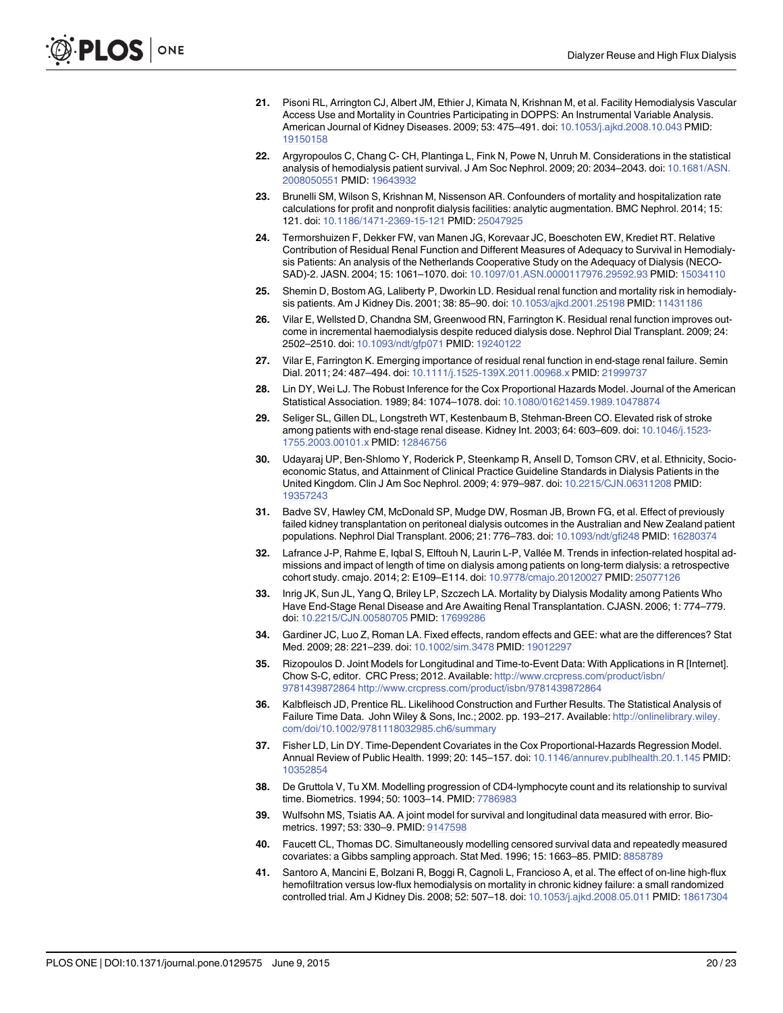- <span id="page-19-0"></span>[21.](#page-2-0) Pisoni RL, Arrington CJ, Albert JM, Ethier J, Kimata N, Krishnan M, et al. Facility Hemodialysis Vascular Access Use and Mortality in Countries Participating in DOPPS: An Instrumental Variable Analysis. American Journal of Kidney Diseases. 2009; 53: 475–491. doi: [10.1053/j.ajkd.2008.10.043](http://dx.doi.org/10.1053/j.ajkd.2008.10.043) PMID: [19150158](http://www.ncbi.nlm.nih.gov/pubmed/19150158)
- [22.](#page-2-0) Argyropoulos C, Chang C- CH, Plantinga L, Fink N, Powe N, Unruh M. Considerations in the statistical analysis of hemodialysis patient survival. J Am Soc Nephrol. 2009; 20: 2034-2043. doi: [10.1681/ASN.](http://dx.doi.org/10.1681/ASN.2008050551) [2008050551](http://dx.doi.org/10.1681/ASN.2008050551) PMID: [19643932](http://www.ncbi.nlm.nih.gov/pubmed/19643932)
- [23.](#page-2-0) Brunelli SM, Wilson S, Krishnan M, Nissenson AR. Confounders of mortality and hospitalization rate calculations for profit and nonprofit dialysis facilities: analytic augmentation. BMC Nephrol. 2014; 15: 121. doi: [10.1186/1471-2369-15-121](http://dx.doi.org/10.1186/1471-2369-15-121) PMID: [25047925](http://www.ncbi.nlm.nih.gov/pubmed/25047925)
- [24.](#page-2-0) Termorshuizen F, Dekker FW, van Manen JG, Korevaar JC, Boeschoten EW, Krediet RT. Relative Contribution of Residual Renal Function and Different Measures of Adequacy to Survival in Hemodialysis Patients: An analysis of the Netherlands Cooperative Study on the Adequacy of Dialysis (NECO-SAD)-2. JASN. 2004; 15: 1061–1070. doi: [10.1097/01.ASN.0000117976.29592.93](http://dx.doi.org/10.1097/01.ASN.0000117976.29592.93) PMID: [15034110](http://www.ncbi.nlm.nih.gov/pubmed/15034110)
- [25.](#page-2-0) Shemin D, Bostom AG, Laliberty P, Dworkin LD. Residual renal function and mortality risk in hemodialysis patients. Am J Kidney Dis. 2001; 38: 85–90. doi: [10.1053/ajkd.2001.25198](http://dx.doi.org/10.1053/ajkd.2001.25198) PMID: [11431186](http://www.ncbi.nlm.nih.gov/pubmed/11431186)
- [26.](#page-2-0) Vilar E, Wellsted D, Chandna SM, Greenwood RN, Farrington K. Residual renal function improves outcome in incremental haemodialysis despite reduced dialysis dose. Nephrol Dial Transplant. 2009; 24: 2502–2510. doi: [10.1093/ndt/gfp071](http://dx.doi.org/10.1093/ndt/gfp071) PMID: [19240122](http://www.ncbi.nlm.nih.gov/pubmed/19240122)
- [27.](#page-2-0) Vilar E, Farrington K. Emerging importance of residual renal function in end-stage renal failure. Semin Dial. 2011; 24: 487–494. doi: [10.1111/j.1525-139X.2011.00968.x](http://dx.doi.org/10.1111/j.1525-139X.2011.00968.x) PMID: [21999737](http://www.ncbi.nlm.nih.gov/pubmed/21999737)
- [28.](#page-2-0) Lin DY, Wei LJ. The Robust Inference for the Cox Proportional Hazards Model. Journal of the American Statistical Association. 1989; 84: 1074–1078. doi: [10.1080/01621459.1989.10478874](http://dx.doi.org/10.1080/01621459.1989.10478874)
- [29.](#page-2-0) Seliger SL, Gillen DL, Longstreth WT, Kestenbaum B, Stehman-Breen CO. Elevated risk of stroke among patients with end-stage renal disease. Kidney Int. 2003; 64: 603–609. doi: [10.1046/j.1523-](http://dx.doi.org/10.1046/j.1523-1755.2003.00101.x) [1755.2003.00101.x](http://dx.doi.org/10.1046/j.1523-1755.2003.00101.x) PMID: [12846756](http://www.ncbi.nlm.nih.gov/pubmed/12846756)
- 30. Udayaraj UP, Ben-Shlomo Y, Roderick P, Steenkamp R, Ansell D, Tomson CRV, et al. Ethnicity, Socioeconomic Status, and Attainment of Clinical Practice Guideline Standards in Dialysis Patients in the United Kingdom. Clin J Am Soc Nephrol. 2009; 4: 979–987. doi: [10.2215/CJN.06311208](http://dx.doi.org/10.2215/CJN.06311208) PMID: [19357243](http://www.ncbi.nlm.nih.gov/pubmed/19357243)
- [31.](#page-4-0) Badve SV, Hawley CM, McDonald SP, Mudge DW, Rosman JB, Brown FG, et al. Effect of previously failed kidney transplantation on peritoneal dialysis outcomes in the Australian and New Zealand patient populations. Nephrol Dial Transplant. 2006; 21: 776–783. doi: [10.1093/ndt/gfi248](http://dx.doi.org/10.1093/ndt/gfi248) PMID: [16280374](http://www.ncbi.nlm.nih.gov/pubmed/16280374)
- [32.](#page-11-0) Lafrance J-P, Rahme E, Iqbal S, Elftouh N, Laurin L-P, Vallée M. Trends in infection-related hospital admissions and impact of length of time on dialysis among patients on long-term dialysis: a retrospective cohort study. cmajo. 2014; 2: E109–E114. doi: [10.9778/cmajo.20120027](http://dx.doi.org/10.9778/cmajo.20120027) PMID: [25077126](http://www.ncbi.nlm.nih.gov/pubmed/25077126)
- [33.](#page-2-0) Inrig JK, Sun JL, Yang Q, Briley LP, Szczech LA. Mortality by Dialysis Modality among Patients Who Have End-Stage Renal Disease and Are Awaiting Renal Transplantation. CJASN. 2006; 1: 774–779. doi: [10.2215/CJN.00580705](http://dx.doi.org/10.2215/CJN.00580705) PMID: [17699286](http://www.ncbi.nlm.nih.gov/pubmed/17699286)
- [34.](#page-3-0) Gardiner JC, Luo Z, Roman LA. Fixed effects, random effects and GEE: what are the differences? Stat Med. 2009; 28: 221–239. doi: [10.1002/sim.3478](http://dx.doi.org/10.1002/sim.3478) PMID: [19012297](http://www.ncbi.nlm.nih.gov/pubmed/19012297)
- [35.](#page-3-0) Rizopoulos D. Joint Models for Longitudinal and Time-to-Event Data: With Applications in R [Internet]. Chow S-C, editor. CRC Press; 2012. Available: [http://www.crcpress.com/product/isbn/](http://www.crcpress.com/product/isbn/9781439872864) [9781439872864 http://www.crcpress.com/product/isbn/9781439872864](http://www.crcpress.com/product/isbn/9781439872864)
- [36.](#page-3-0) Kalbfleisch JD, Prentice RL. Likelihood Construction and Further Results. The Statistical Analysis of Failure Time Data. John Wiley & Sons, Inc.; 2002. pp. 193–217. Available: [http://onlinelibrary.wiley.](http://onlinelibrary.wiley.com/doi/10.1002/9781118032985.ch6/summary) [com/doi/10.1002/9781118032985.ch6/summary](http://onlinelibrary.wiley.com/doi/10.1002/9781118032985.ch6/summary)
- [37.](#page-3-0) Fisher LD, Lin DY. Time-Dependent Covariates in the Cox Proportional-Hazards Regression Model. Annual Review of Public Health. 1999; 20: 145–157. doi: [10.1146/annurev.publhealth.20.1.145](http://dx.doi.org/10.1146/annurev.publhealth.20.1.145) PMID: [10352854](http://www.ncbi.nlm.nih.gov/pubmed/10352854)
- [38.](#page-3-0) De Gruttola V, Tu XM. Modelling progression of CD4-lymphocyte count and its relationship to survival time. Biometrics. 1994; 50: 1003–14. PMID: [7786983](http://www.ncbi.nlm.nih.gov/pubmed/7786983)
- 39. Wulfsohn MS, Tsiatis AA. A joint model for survival and longitudinal data measured with error. Biometrics. 1997; 53: 330–9. PMID: [9147598](http://www.ncbi.nlm.nih.gov/pubmed/9147598)
- [40.](#page-3-0) Faucett CL, Thomas DC. Simultaneously modelling censored survival data and repeatedly measured covariates: a Gibbs sampling approach. Stat Med. 1996; 15: 1663–85. PMID: [8858789](http://www.ncbi.nlm.nih.gov/pubmed/8858789)
- [41.](#page-3-0) Santoro A, Mancini E, Bolzani R, Boggi R, Cagnoli L, Francioso A, et al. The effect of on-line high-flux hemofiltration versus low-flux hemodialysis on mortality in chronic kidney failure: a small randomized controlled trial. Am J Kidney Dis. 2008; 52: 507–18. doi: [10.1053/j.ajkd.2008.05.011](http://dx.doi.org/10.1053/j.ajkd.2008.05.011) PMID: [18617304](http://www.ncbi.nlm.nih.gov/pubmed/18617304)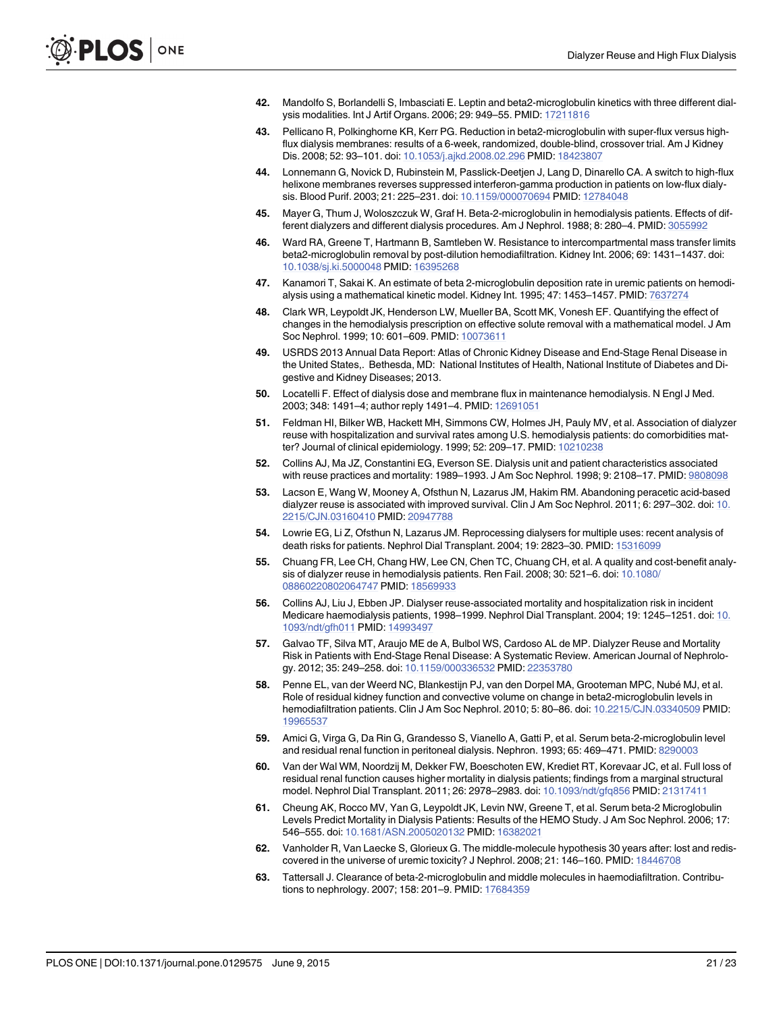- <span id="page-20-0"></span>42. Mandolfo S, Borlandelli S, Imbasciati E. Leptin and beta2-microglobulin kinetics with three different dialysis modalities. Int J Artif Organs. 2006; 29: 949–55. PMID: [17211816](http://www.ncbi.nlm.nih.gov/pubmed/17211816)
- 43. Pellicano R, Polkinghorne KR, Kerr PG. Reduction in beta2-microglobulin with super-flux versus highflux dialysis membranes: results of a 6-week, randomized, double-blind, crossover trial. Am J Kidney Dis. 2008; 52: 93–101. doi: [10.1053/j.ajkd.2008.02.296](http://dx.doi.org/10.1053/j.ajkd.2008.02.296) PMID: [18423807](http://www.ncbi.nlm.nih.gov/pubmed/18423807)
- 44. Lonnemann G, Novick D, Rubinstein M, Passlick-Deetjen J, Lang D, Dinarello CA. A switch to high-flux helixone membranes reverses suppressed interferon-gamma production in patients on low-flux dialysis. Blood Purif. 2003; 21: 225–231. doi: [10.1159/000070694](http://dx.doi.org/10.1159/000070694) PMID: [12784048](http://www.ncbi.nlm.nih.gov/pubmed/12784048)
- [45.](#page-3-0) Mayer G, Thum J, Woloszczuk W, Graf H. Beta-2-microglobulin in hemodialysis patients. Effects of different dialyzers and different dialysis procedures. Am J Nephrol. 1988; 8: 280–4. PMID: [3055992](http://www.ncbi.nlm.nih.gov/pubmed/3055992)
- [46.](#page-3-0) Ward RA, Greene T, Hartmann B, Samtleben W. Resistance to intercompartmental mass transfer limits beta2-microglobulin removal by post-dilution hemodiafiltration. Kidney Int. 2006; 69: 1431–1437. doi: [10.1038/sj.ki.5000048](http://dx.doi.org/10.1038/sj.ki.5000048) PMID: [16395268](http://www.ncbi.nlm.nih.gov/pubmed/16395268)
- 47. Kanamori T, Sakai K. An estimate of beta 2-microglobulin deposition rate in uremic patients on hemodialysis using a mathematical kinetic model. Kidney Int. 1995; 47: 1453–1457. PMID: [7637274](http://www.ncbi.nlm.nih.gov/pubmed/7637274)
- [48.](#page-3-0) Clark WR, Leypoldt JK, Henderson LW, Mueller BA, Scott MK, Vonesh EF. Quantifying the effect of changes in the hemodialysis prescription on effective solute removal with a mathematical model. J Am Soc Nephrol. 1999; 10: 601–609. PMID: [10073611](http://www.ncbi.nlm.nih.gov/pubmed/10073611)
- [49.](#page-14-0) USRDS 2013 Annual Data Report: Atlas of Chronic Kidney Disease and End-Stage Renal Disease in the United States,. Bethesda, MD: National Institutes of Health, National Institute of Diabetes and Digestive and Kidney Diseases; 2013.
- [50.](#page-14-0) Locatelli F. Effect of dialysis dose and membrane flux in maintenance hemodialysis. N Engl J Med. 2003; 348: 1491–4; author reply 1491–4. PMID: [12691051](http://www.ncbi.nlm.nih.gov/pubmed/12691051)
- [51.](#page-14-0) Feldman HI, Bilker WB, Hackett MH, Simmons CW, Holmes JH, Pauly MV, et al. Association of dialyzer reuse with hospitalization and survival rates among U.S. hemodialysis patients: do comorbidities matter? Journal of clinical epidemiology. 1999; 52: 209–17. PMID: [10210238](http://www.ncbi.nlm.nih.gov/pubmed/10210238)
- 52. Collins AJ, Ma JZ, Constantini EG, Everson SE. Dialysis unit and patient characteristics associated with reuse practices and mortality: 1989–1993. J Am Soc Nephrol. 1998; 9: 2108–17. PMID: [9808098](http://www.ncbi.nlm.nih.gov/pubmed/9808098)
- 53. Lacson E, Wang W, Mooney A, Ofsthun N, Lazarus JM, Hakim RM. Abandoning peracetic acid-based dialyzer reuse is associated with improved survival. Clin J Am Soc Nephrol. 2011; 6: 297–302. doi: [10.](http://dx.doi.org/10.2215/CJN.03160410) [2215/CJN.03160410](http://dx.doi.org/10.2215/CJN.03160410) PMID: [20947788](http://www.ncbi.nlm.nih.gov/pubmed/20947788)
- [54.](#page-14-0) Lowrie EG, Li Z, Ofsthun N, Lazarus JM. Reprocessing dialysers for multiple uses: recent analysis of death risks for patients. Nephrol Dial Transplant. 2004; 19: 2823-30. PMID: [15316099](http://www.ncbi.nlm.nih.gov/pubmed/15316099)
- [55.](#page-14-0) Chuang FR, Lee CH, Chang HW, Lee CN, Chen TC, Chuang CH, et al. A quality and cost-benefit analysis of dialyzer reuse in hemodialysis patients. Ren Fail. 2008; 30: 521–6. doi: [10.1080/](http://dx.doi.org/10.1080/08860220802064747) [08860220802064747](http://dx.doi.org/10.1080/08860220802064747) PMID: [18569933](http://www.ncbi.nlm.nih.gov/pubmed/18569933)
- [56.](#page-14-0) Collins AJ, Liu J, Ebben JP. Dialyser reuse-associated mortality and hospitalization risk in incident Medicare haemodialysis patients, 1998–1999. Nephrol Dial Transplant. 2004; 19: 1245–1251. doi: [10.](http://dx.doi.org/10.1093/ndt/gfh011) [1093/ndt/gfh011](http://dx.doi.org/10.1093/ndt/gfh011) PMID: [14993497](http://www.ncbi.nlm.nih.gov/pubmed/14993497)
- [57.](#page-14-0) Galvao TF, Silva MT, Araujo ME de A, Bulbol WS, Cardoso AL de MP. Dialyzer Reuse and Mortality Risk in Patients with End-Stage Renal Disease: A Systematic Review. American Journal of Nephrology. 2012; 35: 249–258. doi: [10.1159/000336532](http://dx.doi.org/10.1159/000336532) PMID: [22353780](http://www.ncbi.nlm.nih.gov/pubmed/22353780)
- [58.](#page-14-0) Penne EL, van der Weerd NC, Blankestijn PJ, van den Dorpel MA, Grooteman MPC, Nubé MJ, et al. Role of residual kidney function and convective volume on change in beta2-microglobulin levels in hemodiafiltration patients. Clin J Am Soc Nephrol. 2010; 5: 80–86. doi: [10.2215/CJN.03340509](http://dx.doi.org/10.2215/CJN.03340509) PMID: [19965537](http://www.ncbi.nlm.nih.gov/pubmed/19965537)
- 59. Amici G, Virga G, Da Rin G, Grandesso S, Vianello A, Gatti P, et al. Serum beta-2-microglobulin level and residual renal function in peritoneal dialysis. Nephron. 1993; 65: 469–471. PMID: [8290003](http://www.ncbi.nlm.nih.gov/pubmed/8290003)
- [60.](#page-14-0) Van der Wal WM, Noordzij M, Dekker FW, Boeschoten EW, Krediet RT, Korevaar JC, et al. Full loss of residual renal function causes higher mortality in dialysis patients; findings from a marginal structural model. Nephrol Dial Transplant. 2011; 26: 2978–2983. doi: [10.1093/ndt/gfq856](http://dx.doi.org/10.1093/ndt/gfq856) PMID: [21317411](http://www.ncbi.nlm.nih.gov/pubmed/21317411)
- [61.](#page-14-0) Cheung AK, Rocco MV, Yan G, Leypoldt JK, Levin NW, Greene T, et al. Serum beta-2 Microglobulin Levels Predict Mortality in Dialysis Patients: Results of the HEMO Study. J Am Soc Nephrol. 2006; 17: 546–555. doi: [10.1681/ASN.2005020132](http://dx.doi.org/10.1681/ASN.2005020132) PMID: [16382021](http://www.ncbi.nlm.nih.gov/pubmed/16382021)
- [62.](#page-14-0) Vanholder R, Van Laecke S, Glorieux G. The middle-molecule hypothesis 30 years after: lost and rediscovered in the universe of uremic toxicity? J Nephrol. 2008; 21: 146–160. PMID: [18446708](http://www.ncbi.nlm.nih.gov/pubmed/18446708)
- [63.](#page-14-0) Tattersall J. Clearance of beta-2-microglobulin and middle molecules in haemodiafiltration. Contributions to nephrology. 2007; 158: 201–9. PMID: [17684359](http://www.ncbi.nlm.nih.gov/pubmed/17684359)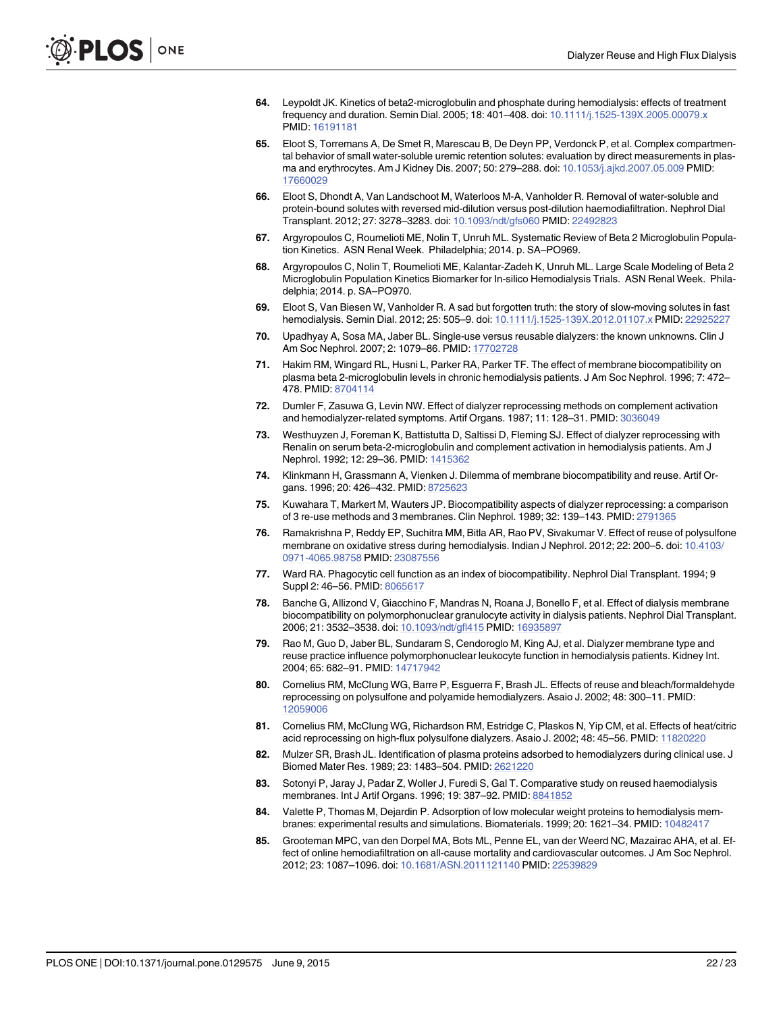- <span id="page-21-0"></span>[64.](#page-14-0) Leypoldt JK. Kinetics of beta2-microglobulin and phosphate during hemodialysis: effects of treatment frequency and duration. Semin Dial. 2005; 18: 401–408. doi: [10.1111/j.1525-139X.2005.00079.x](http://dx.doi.org/10.1111/j.1525-139X.2005.00079.x) PMID: [16191181](http://www.ncbi.nlm.nih.gov/pubmed/16191181)
- [65.](#page-14-0) Eloot S, Torremans A, De Smet R, Marescau B, De Deyn PP, Verdonck P, et al. Complex compartmental behavior of small water-soluble uremic retention solutes: evaluation by direct measurements in plasma and erythrocytes. Am J Kidney Dis. 2007; 50: 279–288. doi: [10.1053/j.ajkd.2007.05.009](http://dx.doi.org/10.1053/j.ajkd.2007.05.009) PMID: [17660029](http://www.ncbi.nlm.nih.gov/pubmed/17660029)
- [66.](#page-14-0) Eloot S, Dhondt A, Van Landschoot M, Waterloos M-A, Vanholder R. Removal of water-soluble and protein-bound solutes with reversed mid-dilution versus post-dilution haemodiafiltration. Nephrol Dial Transplant. 2012; 27: 3278–3283. doi: [10.1093/ndt/gfs060](http://dx.doi.org/10.1093/ndt/gfs060) PMID: [22492823](http://www.ncbi.nlm.nih.gov/pubmed/22492823)
- [67.](#page-14-0) Argyropoulos C, Roumelioti ME, Nolin T, Unruh ML. Systematic Review of Beta 2 Microglobulin Population Kinetics. ASN Renal Week. Philadelphia; 2014. p. SA–PO969.
- [68.](#page-14-0) Argyropoulos C, Nolin T, Roumelioti ME, Kalantar-Zadeh K, Unruh ML. Large Scale Modeling of Beta 2 Microglobulin Population Kinetics Biomarker for In-silico Hemodialysis Trials. ASN Renal Week. Philadelphia; 2014. p. SA–PO970.
- [69.](#page-14-0) Eloot S, Van Biesen W, Vanholder R. A sad but forgotten truth: the story of slow-moving solutes in fast hemodialysis. Semin Dial. 2012; 25: 505-9. doi: [10.1111/j.1525-139X.2012.01107.x](http://dx.doi.org/10.1111/j.1525-139X.2012.01107.x) PMID: [22925227](http://www.ncbi.nlm.nih.gov/pubmed/22925227)
- [70.](#page-15-0) Upadhyay A, Sosa MA, Jaber BL. Single-use versus reusable dialyzers: the known unknowns. Clin J Am Soc Nephrol. 2007; 2: 1079–86. PMID: [17702728](http://www.ncbi.nlm.nih.gov/pubmed/17702728)
- [71.](#page-15-0) Hakim RM, Wingard RL, Husni L, Parker RA, Parker TF. The effect of membrane biocompatibility on plasma beta 2-microglobulin levels in chronic hemodialysis patients. J Am Soc Nephrol. 1996; 7: 472– 478. PMID: [8704114](http://www.ncbi.nlm.nih.gov/pubmed/8704114)
- 72. Dumler F, Zasuwa G, Levin NW. Effect of dialyzer reprocessing methods on complement activation and hemodialyzer-related symptoms. Artif Organs. 1987; 11: 128–31. PMID: [3036049](http://www.ncbi.nlm.nih.gov/pubmed/3036049)
- [73.](#page-15-0) Westhuyzen J, Foreman K, Battistutta D, Saltissi D, Fleming SJ. Effect of dialyzer reprocessing with Renalin on serum beta-2-microglobulin and complement activation in hemodialysis patients. Am J Nephrol. 1992; 12: 29–36. PMID: [1415362](http://www.ncbi.nlm.nih.gov/pubmed/1415362)
- [74.](#page-15-0) Klinkmann H, Grassmann A, Vienken J. Dilemma of membrane biocompatibility and reuse. Artif Organs. 1996; 20: 426–432. PMID: [8725623](http://www.ncbi.nlm.nih.gov/pubmed/8725623)
- 75. Kuwahara T, Markert M, Wauters JP. Biocompatibility aspects of dialyzer reprocessing: a comparison of 3 re-use methods and 3 membranes. Clin Nephrol. 1989; 32: 139–143. PMID: [2791365](http://www.ncbi.nlm.nih.gov/pubmed/2791365)
- [76.](#page-15-0) Ramakrishna P, Reddy EP, Suchitra MM, Bitla AR, Rao PV, Sivakumar V. Effect of reuse of polysulfone membrane on oxidative stress during hemodialysis. Indian J Nephrol. 2012; 22: 200–5. doi: [10.4103/](http://dx.doi.org/10.4103/0971-4065.98758) [0971-4065.98758](http://dx.doi.org/10.4103/0971-4065.98758) PMID: [23087556](http://www.ncbi.nlm.nih.gov/pubmed/23087556)
- [77.](#page-15-0) Ward RA. Phagocytic cell function as an index of biocompatibility. Nephrol Dial Transplant. 1994; 9 Suppl 2: 46–56. PMID: [8065617](http://www.ncbi.nlm.nih.gov/pubmed/8065617)
- [78.](#page-15-0) Banche G, Allizond V, Giacchino F, Mandras N, Roana J, Bonello F, et al. Effect of dialysis membrane biocompatibility on polymorphonuclear granulocyte activity in dialysis patients. Nephrol Dial Transplant. 2006; 21: 3532–3538. doi: [10.1093/ndt/gfl415](http://dx.doi.org/10.1093/ndt/gfl415) PMID: [16935897](http://www.ncbi.nlm.nih.gov/pubmed/16935897)
- [79.](#page-15-0) Rao M, Guo D, Jaber BL, Sundaram S, Cendoroglo M, King AJ, et al. Dialyzer membrane type and reuse practice influence polymorphonuclear leukocyte function in hemodialysis patients. Kidney Int. 2004; 65: 682–91. PMID: [14717942](http://www.ncbi.nlm.nih.gov/pubmed/14717942)
- [80.](#page-15-0) Cornelius RM, McClung WG, Barre P, Esguerra F, Brash JL. Effects of reuse and bleach/formaldehyde reprocessing on polysulfone and polyamide hemodialyzers. Asaio J. 2002; 48: 300–11. PMID: [12059006](http://www.ncbi.nlm.nih.gov/pubmed/12059006)
- 81. Cornelius RM, McClung WG, Richardson RM, Estridge C, Plaskos N, Yip CM, et al. Effects of heat/citric acid reprocessing on high-flux polysulfone dialyzers. Asaio J. 2002; 48: 45–56. PMID: [11820220](http://www.ncbi.nlm.nih.gov/pubmed/11820220)
- 82. Mulzer SR, Brash JL. Identification of plasma proteins adsorbed to hemodialyzers during clinical use. J Biomed Mater Res. 1989; 23: 1483–504. PMID: [2621220](http://www.ncbi.nlm.nih.gov/pubmed/2621220)
- 83. Sotonyi P, Jaray J, Padar Z, Woller J, Furedi S, Gal T. Comparative study on reused haemodialysis membranes. Int J Artif Organs. 1996; 19: 387-92. PMID: [8841852](http://www.ncbi.nlm.nih.gov/pubmed/8841852)
- [84.](#page-15-0) Valette P, Thomas M, Dejardin P. Adsorption of low molecular weight proteins to hemodialysis membranes: experimental results and simulations. Biomaterials. 1999; 20: 1621–34. PMID: [10482417](http://www.ncbi.nlm.nih.gov/pubmed/10482417)
- [85.](#page-15-0) Grooteman MPC, van den Dorpel MA, Bots ML, Penne EL, van der Weerd NC, Mazairac AHA, et al. Effect of online hemodiafiltration on all-cause mortality and cardiovascular outcomes. J Am Soc Nephrol. 2012; 23: 1087–1096. doi: [10.1681/ASN.2011121140](http://dx.doi.org/10.1681/ASN.2011121140) PMID: [22539829](http://www.ncbi.nlm.nih.gov/pubmed/22539829)